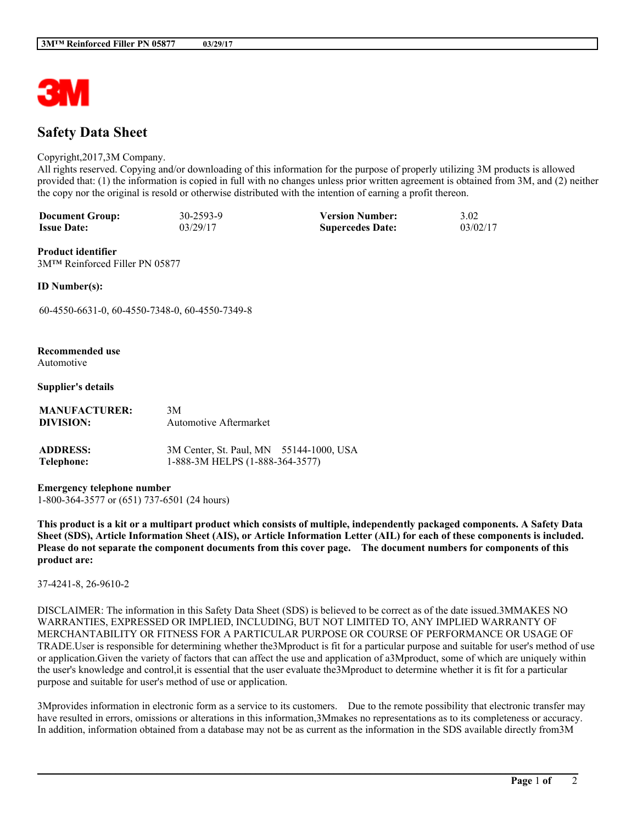

# **Safety Data Sheet**

#### Copyright,2017,3M Company.

All rights reserved. Copying and/or downloading of this information for the purpose of properly utilizing 3M products is allowed provided that: (1) the information is copied in full with no changes unless prior written agreement is obtained from 3M, and (2) neither the copy nor the original is resold or otherwise distributed with the intention of earning a profit thereon.

| <b>Document Group:</b> | 30-2593-9 | <b>Version Number:</b>  | 3.02     |
|------------------------|-----------|-------------------------|----------|
| <b>Issue Date:</b>     | 03/29/17  | <b>Supercedes Date:</b> | 03/02/17 |

**Product identifier** 3M™ Reinforced Filler PN 05877

**ID Number(s):**

60-4550-6631-0, 60-4550-7348-0, 60-4550-7349-8

#### **Recommended use**

Automotive

#### **Supplier's details**

| <b>MANUFACTURER:</b><br>DIVISION: | 3M<br>Automotive Aftermarket                                               |  |
|-----------------------------------|----------------------------------------------------------------------------|--|
| <b>ADDRESS:</b><br>Telephone:     | 3M Center, St. Paul, MN 55144-1000, USA<br>1-888-3M HELPS (1-888-364-3577) |  |

# **Emergency telephone number**

1-800-364-3577 or (651) 737-6501 (24 hours)

This product is a kit or a multipart product which consists of multiple, independently packaged components. A Safety Data Sheet (SDS), Article Information Sheet (AIS), or Article Information Letter (AIL) for each of these components is included. Please do not separate the component documents from this cover page. The document numbers for components of this **product are:**

#### 37-4241-8, 26-9610-2

DISCLAIMER: The information in this Safety Data Sheet (SDS) is believed to be correct as of the date issued.3MMAKES NO WARRANTIES, EXPRESSED OR IMPLIED, INCLUDING, BUT NOT LIMITED TO, ANY IMPLIED WARRANTY OF MERCHANTABILITY OR FITNESS FOR A PARTICULAR PURPOSE OR COURSE OF PERFORMANCE OR USAGE OF TRADE.User is responsible for determining whether the3Mproduct is fit for a particular purpose and suitable for user's method of use or application.Given the variety of factors that can affect the use and application of a3Mproduct, some of which are uniquely within the user's knowledge and control,it is essential that the user evaluate the3Mproduct to determine whether it is fit for a particular purpose and suitable for user's method of use or application.

3Mprovides information in electronic form as a service to its customers. Due to the remote possibility that electronic transfer may have resulted in errors, omissions or alterations in this information,3Mmakes no representations as to its completeness or accuracy. In addition, information obtained from a database may not be as current as the information in the SDS available directly from3M

**\_\_\_\_\_\_\_\_\_\_\_\_\_\_\_\_\_\_\_\_\_\_\_\_\_\_\_\_\_\_\_\_\_\_\_\_\_\_\_\_\_\_\_\_\_\_\_\_\_\_\_\_\_\_\_\_\_\_\_\_\_\_\_\_\_\_\_\_\_\_\_\_\_\_\_\_\_\_\_\_\_\_\_\_\_\_\_\_\_\_\_\_\_\_\_\_\_\_\_\_\_\_\_\_**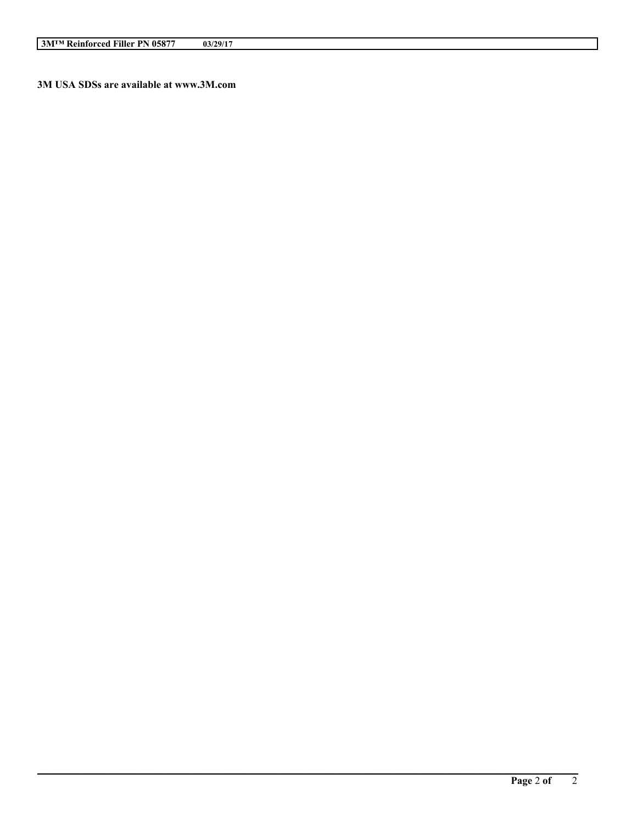**3M USA SDSs are available at www.3M.com**

**\_\_\_\_\_\_\_\_\_\_\_\_\_\_\_\_\_\_\_\_\_\_\_\_\_\_\_\_\_\_\_\_\_\_\_\_\_\_\_\_\_\_\_\_\_\_\_\_\_\_\_\_\_\_\_\_\_\_\_\_\_\_\_\_\_\_\_\_\_\_\_\_\_\_\_\_\_\_\_\_\_\_\_\_\_\_\_\_\_\_\_\_\_\_\_\_\_\_\_\_\_\_\_\_**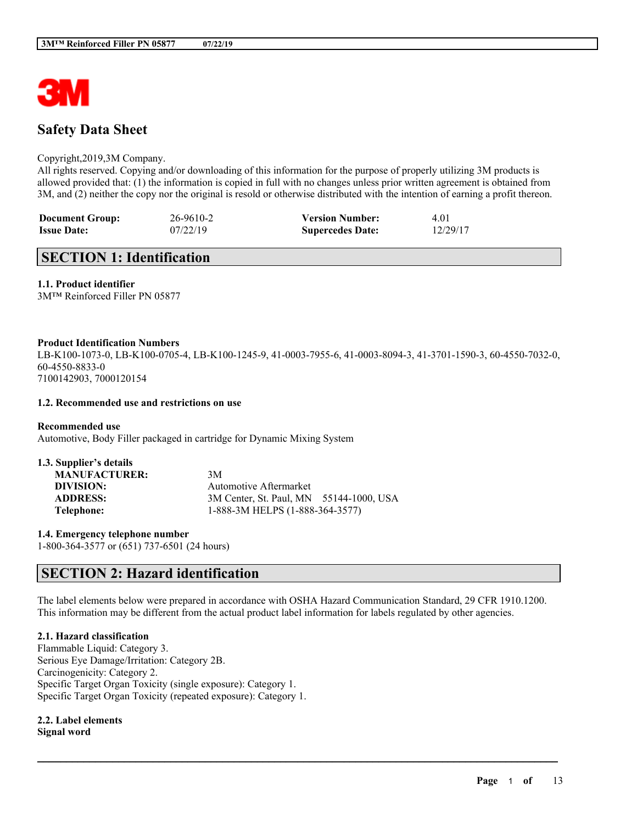

# **Safety Data Sheet**

#### Copyright,2019,3M Company.

All rights reserved. Copying and/or downloading of this information for the purpose of properly utilizing 3M products is allowed provided that: (1) the information is copied in full with no changes unless prior written agreement is obtained from 3M, and (2) neither the copy nor the original is resold or otherwise distributed with the intention of earning a profit thereon.

| <b>Document Group:</b> | 26-9610-2 | <b>Version Number:</b>  | 4.01     |
|------------------------|-----------|-------------------------|----------|
| <b>Issue Date:</b>     | 07/22/19  | <b>Supercedes Date:</b> | 12/29/17 |

# **SECTION 1: Identification**

# **1.1. Product identifier**

3M™ Reinforced Filler PN 05877

#### **Product Identification Numbers**

LB-K100-1073-0, LB-K100-0705-4, LB-K100-1245-9, 41-0003-7955-6, 41-0003-8094-3, 41-3701-1590-3, 60-4550-7032-0, 60-4550-8833-0 7100142903, 7000120154

#### **1.2. Recommended use and restrictions on use**

**Recommended use** Automotive, Body Filler packaged in cartridge for Dynamic Mixing System

| 1.3. Supplier's details |                                         |
|-------------------------|-----------------------------------------|
| <b>MANUFACTURER:</b>    | 3M                                      |
| DIVISION:               | Automotive Aftermarket                  |
| <b>ADDRESS:</b>         | 3M Center, St. Paul, MN 55144-1000, USA |
| Telephone:              | 1-888-3M HELPS (1-888-364-3577)         |

**1.4. Emergency telephone number**

# 1-800-364-3577 or (651) 737-6501 (24 hours)

# **SECTION 2: Hazard identification**

The label elements below were prepared in accordance with OSHA Hazard Communication Standard, 29 CFR 1910.1200. This information may be different from the actual product label information for labels regulated by other agencies.

 $\mathcal{L}_\mathcal{L} = \mathcal{L}_\mathcal{L} = \mathcal{L}_\mathcal{L} = \mathcal{L}_\mathcal{L} = \mathcal{L}_\mathcal{L} = \mathcal{L}_\mathcal{L} = \mathcal{L}_\mathcal{L} = \mathcal{L}_\mathcal{L} = \mathcal{L}_\mathcal{L} = \mathcal{L}_\mathcal{L} = \mathcal{L}_\mathcal{L} = \mathcal{L}_\mathcal{L} = \mathcal{L}_\mathcal{L} = \mathcal{L}_\mathcal{L} = \mathcal{L}_\mathcal{L} = \mathcal{L}_\mathcal{L} = \mathcal{L}_\mathcal{L}$ 

### **2.1. Hazard classification**

Flammable Liquid: Category 3. Serious Eye Damage/Irritation: Category 2B. Carcinogenicity: Category 2. Specific Target Organ Toxicity (single exposure): Category 1. Specific Target Organ Toxicity (repeated exposure): Category 1.

#### **2.2. Label elements Signal word**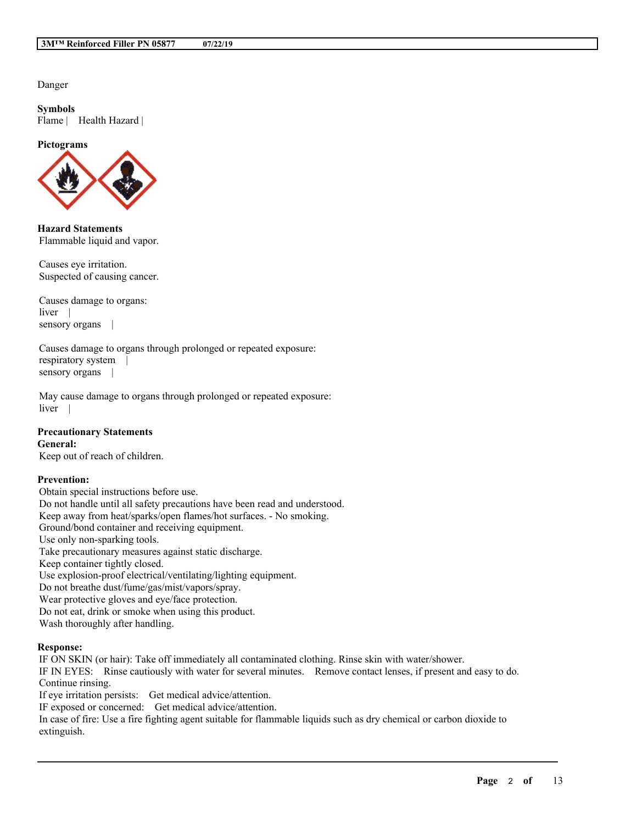Danger

**Symbols** Flame | Health Hazard |

#### **Pictograms**



**Hazard Statements** Flammable liquid and vapor.

Causes eye irritation. Suspected of causing cancer.

Causes damage to organs: liver | sensory organs |

Causes damage to organs through prolonged or repeated exposure: respiratory system | sensory organs |

May cause damage to organs through prolonged or repeated exposure: liver |

#### **Precautionary Statements General:**

Keep out of reach of children.

### **Prevention:**

Obtain special instructions before use. Do not handle until all safety precautions have been read and understood. Keep away from heat/sparks/open flames/hot surfaces. - No smoking. Ground/bond container and receiving equipment. Use only non-sparking tools. Take precautionary measures against static discharge. Keep container tightly closed. Use explosion-proof electrical/ventilating/lighting equipment. Do not breathe dust/fume/gas/mist/vapors/spray. Wear protective gloves and eye/face protection. Do not eat, drink or smoke when using this product. Wash thoroughly after handling.

#### **Response:**

IF ON SKIN (or hair): Take off immediately all contaminated clothing. Rinse skin with water/shower. IF IN EYES: Rinse cautiously with water for several minutes. Remove contact lenses, if present and easy to do. Continue rinsing. If eye irritation persists: Get medical advice/attention. IF exposed or concerned: Get medical advice/attention.

In case of fire: Use a fire fighting agent suitable for flammable liquids such as dry chemical or carbon dioxide to extinguish.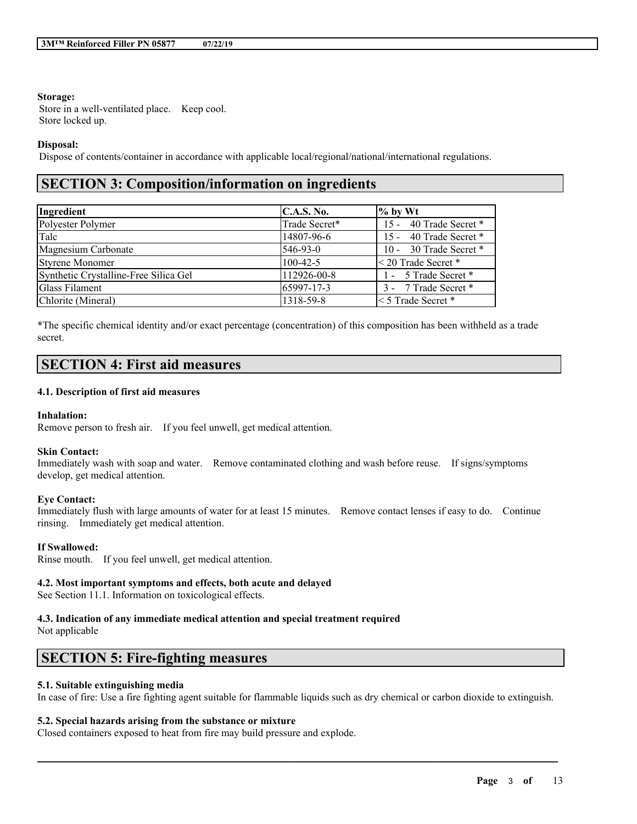#### **Storage:**

Store in a well-ventilated place. Keep cool. Store locked up.

#### **Disposal:**

Dispose of contents/container in accordance with applicable local/regional/national/international regulations.

# **SECTION 3: Composition/information on ingredients**

| Ingredient                            | <b>C.A.S. No.</b> | $\%$ by Wt                 |
|---------------------------------------|-------------------|----------------------------|
| Polyester Polymer                     | Trade Secret*     | 15 - 40 Trade Secret *     |
| Talc                                  | 14807-96-6        | 15 - 40 Trade Secret *     |
| Magnesium Carbonate                   | 546-93-0          | 10 - 30 Trade Secret *     |
| <b>Styrene Monomer</b>                | $100-42-5$        | $\leq$ 20 Trade Secret $*$ |
| Synthetic Crystalline-Free Silica Gel | 112926-00-8       | 1 - 5 Trade Secret *       |
| <b>Glass Filament</b>                 | 65997-17-3        | 3 - 7 Trade Secret *       |
| Chlorite (Mineral)                    | 1318-59-8         | $\leq$ 5 Trade Secret $*$  |

\*The specific chemical identity and/or exact percentage (concentration) of this composition has been withheld as a trade secret.

# **SECTION 4: First aid measures**

#### **4.1. Description of first aid measures**

#### **Inhalation:**

Remove person to fresh air. If you feel unwell, get medical attention.

#### **Skin Contact:**

Immediately wash with soap and water. Remove contaminated clothing and wash before reuse. If signs/symptoms develop, get medical attention.

#### **Eye Contact:**

Immediately flush with large amounts of water for at least 15 minutes. Remove contact lenses if easy to do. Continue rinsing. Immediately get medical attention.

#### **If Swallowed:**

Rinse mouth. If you feel unwell, get medical attention.

#### **4.2. Most important symptoms and effects, both acute and delayed**

See Section 11.1. Information on toxicological effects.

# **4.3. Indication of any immediate medical attention and special treatment required**

Not applicable

# **SECTION 5: Fire-fighting measures**

# **5.1. Suitable extinguishing media**

In case of fire: Use a fire fighting agent suitable for flammable liquids such as dry chemical or carbon dioxide to extinguish.

 $\mathcal{L}_\mathcal{L} = \mathcal{L}_\mathcal{L} = \mathcal{L}_\mathcal{L} = \mathcal{L}_\mathcal{L} = \mathcal{L}_\mathcal{L} = \mathcal{L}_\mathcal{L} = \mathcal{L}_\mathcal{L} = \mathcal{L}_\mathcal{L} = \mathcal{L}_\mathcal{L} = \mathcal{L}_\mathcal{L} = \mathcal{L}_\mathcal{L} = \mathcal{L}_\mathcal{L} = \mathcal{L}_\mathcal{L} = \mathcal{L}_\mathcal{L} = \mathcal{L}_\mathcal{L} = \mathcal{L}_\mathcal{L} = \mathcal{L}_\mathcal{L}$ 

# **5.2. Special hazards arising from the substance or mixture**

Closed containers exposed to heat from fire may build pressure and explode.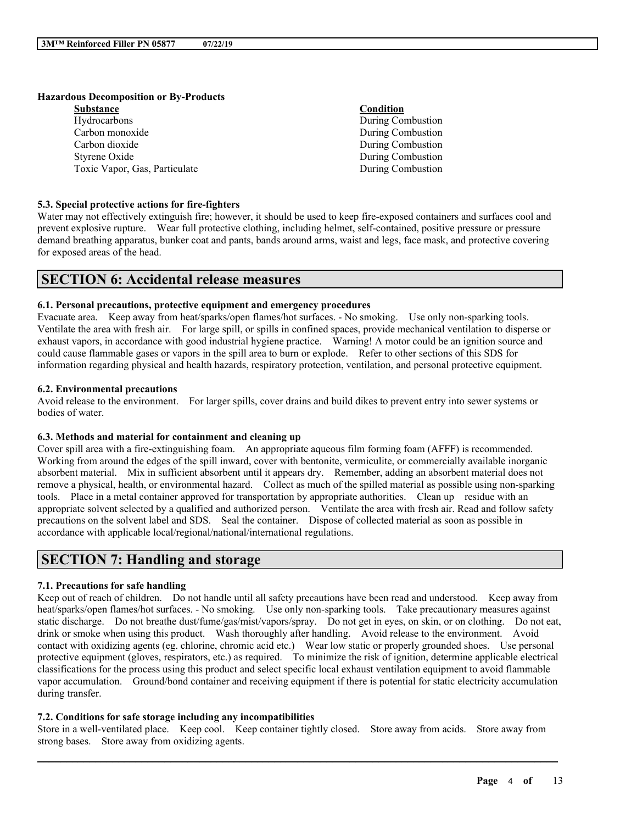#### **Hazardous Decomposition or By-Products**

| <b>Substance</b>              | Condition         |
|-------------------------------|-------------------|
| Hydrocarbons                  | During Combustion |
| Carbon monoxide               | During Combustion |
| Carbon dioxide                | During Combustion |
| Styrene Oxide                 | During Combustion |
| Toxic Vapor, Gas, Particulate | During Combustion |

#### **5.3. Special protective actions for fire-fighters**

Water may not effectively extinguish fire; however, it should be used to keep fire-exposed containers and surfaces cool and prevent explosive rupture. Wear full protective clothing, including helmet, self-contained, positive pressure or pressure demand breathing apparatus, bunker coat and pants, bands around arms, waist and legs, face mask, and protective covering for exposed areas of the head.

# **SECTION 6: Accidental release measures**

### **6.1. Personal precautions, protective equipment and emergency procedures**

Evacuate area. Keep away from heat/sparks/open flames/hot surfaces. - No smoking. Use only non-sparking tools. Ventilate the area with fresh air. For large spill, or spills in confined spaces, provide mechanical ventilation to disperse or exhaust vapors, in accordance with good industrial hygiene practice. Warning! A motor could be an ignition source and could cause flammable gases or vapors in the spill area to burn or explode. Refer to other sections of this SDS for information regarding physical and health hazards, respiratory protection, ventilation, and personal protective equipment.

#### **6.2. Environmental precautions**

Avoid release to the environment. For larger spills, cover drains and build dikes to prevent entry into sewer systems or bodies of water.

#### **6.3. Methods and material for containment and cleaning up**

Cover spill area with a fire-extinguishing foam. An appropriate aqueous film forming foam (AFFF) is recommended. Working from around the edges of the spill inward, cover with bentonite, vermiculite, or commercially available inorganic absorbent material. Mix in sufficient absorbent until it appears dry. Remember, adding an absorbent material does not remove a physical, health, or environmental hazard. Collect as much of the spilled material as possible using non-sparking tools. Place in a metal container approved for transportation by appropriate authorities. Clean up residue with an appropriate solvent selected by a qualified and authorized person. Ventilate the area with fresh air. Read and follow safety precautions on the solvent label and SDS. Seal the container. Dispose of collected material as soon as possible in accordance with applicable local/regional/national/international regulations.

# **SECTION 7: Handling and storage**

### **7.1. Precautions for safe handling**

Keep out of reach of children. Do not handle until all safety precautions have been read and understood. Keep away from heat/sparks/open flames/hot surfaces. - No smoking. Use only non-sparking tools. Take precautionary measures against static discharge. Do not breathe dust/fume/gas/mist/vapors/spray. Do not get in eyes, on skin, or on clothing. Do not eat, drink or smoke when using this product. Wash thoroughly after handling. Avoid release to the environment. Avoid contact with oxidizing agents (eg. chlorine, chromic acid etc.) Wear low static or properly grounded shoes. Use personal protective equipment (gloves, respirators, etc.) as required. To minimize the risk of ignition, determine applicable electrical classifications for the process using this product and select specific local exhaust ventilation equipment to avoid flammable vapor accumulation. Ground/bond container and receiving equipment if there is potential for static electricity accumulation during transfer.

#### **7.2. Conditions for safe storage including any incompatibilities**

Store in a well-ventilated place. Keep cool. Keep container tightly closed. Store away from acids. Store away from strong bases. Store away from oxidizing agents.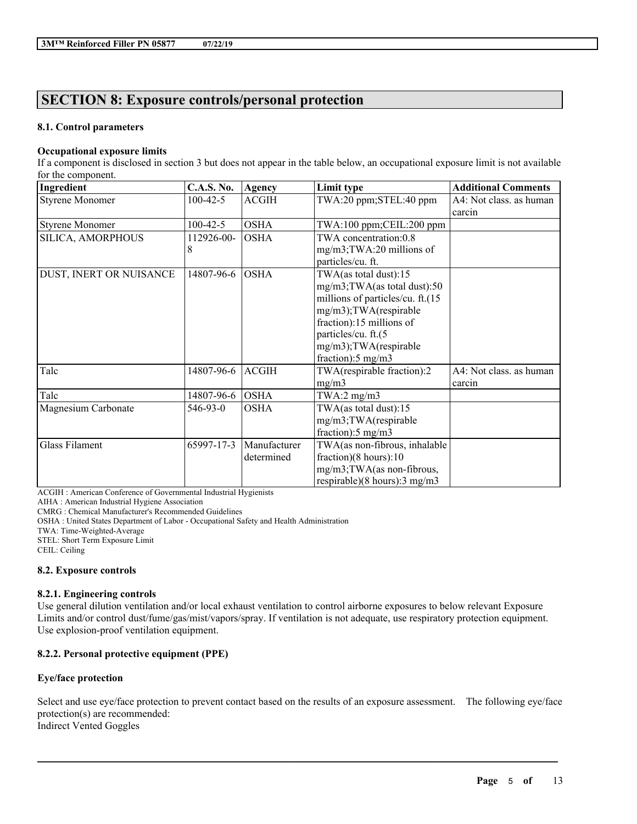# **SECTION 8: Exposure controls/personal protection**

### **8.1. Control parameters**

### **Occupational exposure limits**

If a component is disclosed in section 3 but does not appear in the table below, an occupational exposure limit is not available for the component.

| Ingredient              | <b>C.A.S. No.</b> | Agency       | Limit type                                | <b>Additional Comments</b> |
|-------------------------|-------------------|--------------|-------------------------------------------|----------------------------|
| <b>Styrene Monomer</b>  | $100 - 42 - 5$    | <b>ACGIH</b> | TWA:20 ppm;STEL:40 ppm                    | A4: Not class. as human    |
|                         |                   |              |                                           | carcin                     |
| <b>Styrene Monomer</b>  | $100 - 42 - 5$    | <b>OSHA</b>  | $TWA:100$ ppm; $CEIL:200$ ppm             |                            |
| SILICA, AMORPHOUS       | 112926-00-        | <b>OSHA</b>  | TWA concentration:0.8                     |                            |
|                         | 8                 |              | mg/m3;TWA:20 millions of                  |                            |
|                         |                   |              | particles/cu. ft.                         |                            |
| DUST, INERT OR NUISANCE | 14807-96-6        | <b>OSHA</b>  | TWA(as total dust):15                     |                            |
|                         |                   |              | mg/m3;TWA(as total dust):50               |                            |
|                         |                   |              | millions of particles/cu. ft.(15          |                            |
|                         |                   |              | mg/m3);TWA(respirable                     |                            |
|                         |                   |              | fraction):15 millions of                  |                            |
|                         |                   |              | particles/cu. ft.(5                       |                            |
|                         |                   |              | mg/m3);TWA(respirable                     |                            |
|                         |                   |              | fraction): $5 \text{ mg/m}$ 3             |                            |
| Talc                    | 14807-96-6        | <b>ACGIH</b> | TWA(respirable fraction):2                | A4: Not class. as human    |
|                         |                   |              | mg/m3                                     | carcin                     |
| Talc                    | 14807-96-6        | <b>OSHA</b>  | TWA:2 $mg/m3$                             |                            |
| Magnesium Carbonate     | 546-93-0          | <b>OSHA</b>  | TWA(as total dust): $15$                  |                            |
|                         |                   |              | mg/m3;TWA(respirable                      |                            |
|                         |                   |              | fraction):5 mg/m3                         |                            |
| <b>Glass Filament</b>   | 65997-17-3        | Manufacturer | TWA(as non-fibrous, inhalable             |                            |
|                         |                   | determined   | fraction)(8 hours):10                     |                            |
|                         |                   |              | mg/m3;TWA(as non-fibrous,                 |                            |
|                         |                   |              | respirable) $(8 \text{ hours})$ : 3 mg/m3 |                            |

ACGIH : American Conference of Governmental Industrial Hygienists

AIHA : American Industrial Hygiene Association

CMRG : Chemical Manufacturer's Recommended Guidelines

OSHA : United States Department of Labor - Occupational Safety and Health Administration

TWA: Time-Weighted-Average

STEL: Short Term Exposure Limit

CEIL: Ceiling

### **8.2. Exposure controls**

### **8.2.1. Engineering controls**

Use general dilution ventilation and/or local exhaust ventilation to control airborne exposures to below relevant Exposure Limits and/or control dust/fume/gas/mist/vapors/spray. If ventilation is not adequate, use respiratory protection equipment. Use explosion-proof ventilation equipment.

### **8.2.2. Personal protective equipment (PPE)**

### **Eye/face protection**

Select and use eye/face protection to prevent contact based on the results of an exposure assessment. The following eye/face protection(s) are recommended: Indirect Vented Goggles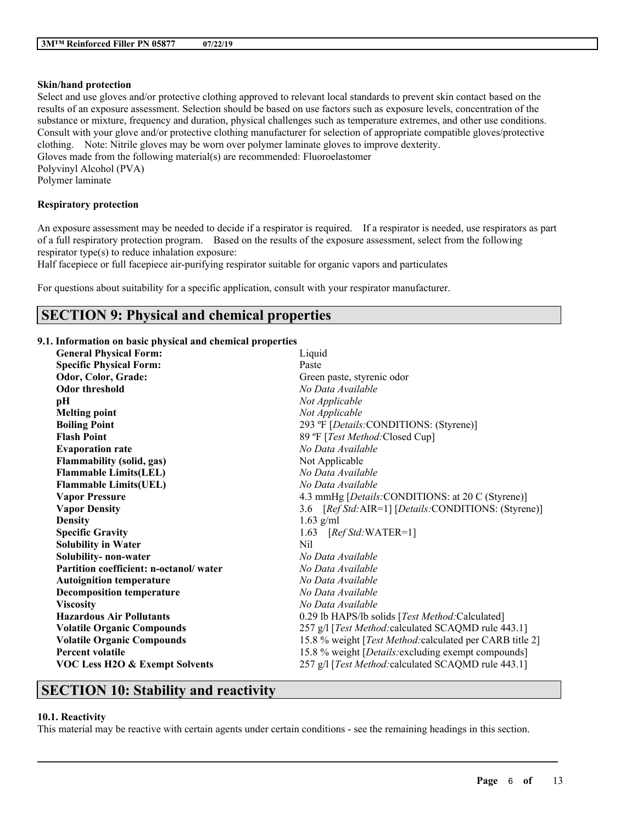#### **Skin/hand protection**

Select and use gloves and/or protective clothing approved to relevant local standards to prevent skin contact based on the results of an exposure assessment. Selection should be based on use factors such as exposure levels, concentration of the substance or mixture, frequency and duration, physical challenges such as temperature extremes, and other use conditions. Consult with your glove and/or protective clothing manufacturer for selection of appropriate compatible gloves/protective clothing. Note: Nitrile gloves may be worn over polymer laminate gloves to improve dexterity. Gloves made from the following material(s) are recommended: Fluoroelastomer

Polyvinyl Alcohol (PVA) Polymer laminate

#### **Respiratory protection**

An exposure assessment may be needed to decide if a respirator is required. If a respirator is needed, use respirators as part of a full respiratory protection program. Based on the results of the exposure assessment, select from the following respirator type(s) to reduce inhalation exposure:

Half facepiece or full facepiece air-purifying respirator suitable for organic vapors and particulates

For questions about suitability for a specific application, consult with your respirator manufacturer.

# **SECTION 9: Physical and chemical properties**

#### **9.1. Information on basic physical and chemical properties**

| <b>General Physical Form:</b>             | Liquid                                                      |
|-------------------------------------------|-------------------------------------------------------------|
| <b>Specific Physical Form:</b>            | Paste                                                       |
| Odor, Color, Grade:                       | Green paste, styrenic odor                                  |
| <b>Odor threshold</b>                     | No Data Available                                           |
| pН                                        | Not Applicable                                              |
| <b>Melting point</b>                      | Not Applicable                                              |
| <b>Boiling Point</b>                      | 293 °F [Details: CONDITIONS: (Styrene)]                     |
| <b>Flash Point</b>                        | 89 °F [Test Method: Closed Cup]                             |
| <b>Evaporation rate</b>                   | No Data Available                                           |
| <b>Flammability (solid, gas)</b>          | Not Applicable                                              |
| <b>Flammable Limits(LEL)</b>              | No Data Available                                           |
| <b>Flammable Limits(UEL)</b>              | No Data Available                                           |
| <b>Vapor Pressure</b>                     | 4.3 mmHg [ <i>Details:CONDITIONS: at 20 C (Styrene</i> )]   |
| <b>Vapor Density</b>                      | 3.6 [Ref Std: AIR=1] [Details: CONDITIONS: (Styrene)]       |
| <b>Density</b>                            | $1.63$ g/ml                                                 |
| <b>Specific Gravity</b>                   | 1.63<br>$[RefStd:WATER=1]$                                  |
| <b>Solubility in Water</b>                | Nil                                                         |
| Solubility-non-water                      | No Data Available                                           |
| Partition coefficient: n-octanol/water    | No Data Available                                           |
| <b>Autoignition temperature</b>           | No Data Available                                           |
| <b>Decomposition temperature</b>          | No Data Available                                           |
| <b>Viscosity</b>                          | No Data Available                                           |
| <b>Hazardous Air Pollutants</b>           | 0.29 lb HAPS/lb solids [Test Method:Calculated]             |
| <b>Volatile Organic Compounds</b>         | 257 g/l [Test Method: calculated SCAQMD rule 443.1]         |
| <b>Volatile Organic Compounds</b>         | 15.8 % weight [Test Method: calculated per CARB title 2]    |
| <b>Percent volatile</b>                   | 15.8 % weight [ <i>Details:excluding exempt compounds</i> ] |
| <b>VOC Less H2O &amp; Exempt Solvents</b> | 257 g/l [Test Method: calculated SCAQMD rule 443.1]         |
|                                           |                                                             |

# **SECTION 10: Stability and reactivity**

# **10.1. Reactivity**

This material may be reactive with certain agents under certain conditions - see the remaining headings in this section.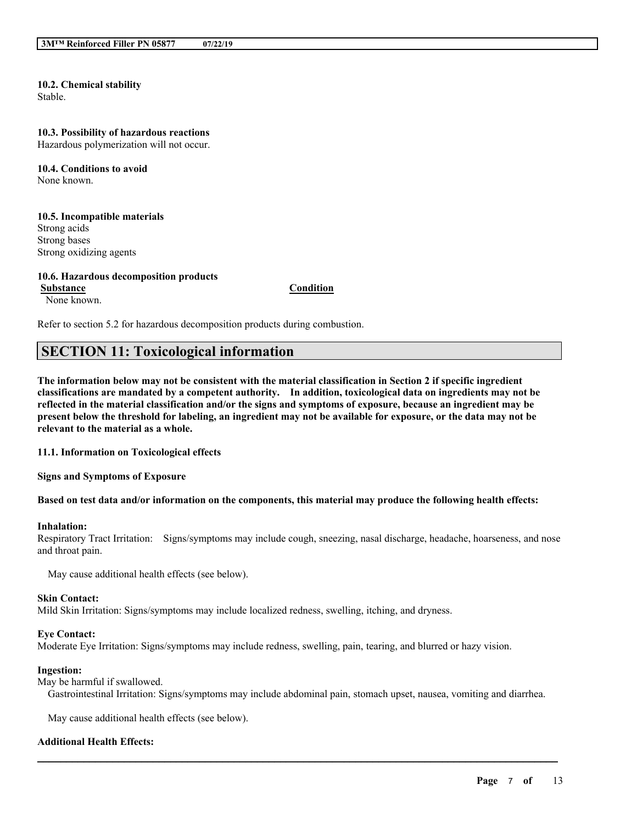# **10.2. Chemical stability**

Stable.

#### **10.3. Possibility of hazardous reactions**

Hazardous polymerization will not occur.

**10.4. Conditions to avoid** None known.

#### **10.5. Incompatible materials** Strong acids Strong bases Strong oxidizing agents

#### **10.6. Hazardous decomposition products**

**Substance Condition** None known.

Refer to section 5.2 for hazardous decomposition products during combustion.

# **SECTION 11: Toxicological information**

The information below may not be consistent with the material classification in Section 2 if specific ingredient **classifications are mandated by a competent authority. In addition, toxicological data on ingredients may not be** reflected in the material classification and/or the signs and symptoms of exposure, because an ingredient may be present below the threshold for labeling, an ingredient may not be available for exposure, or the data may not be **relevant to the material as a whole.**

**11.1. Information on Toxicological effects**

**Signs and Symptoms of Exposure**

#### Based on test data and/or information on the components, this material may produce the following health effects:

#### **Inhalation:**

Respiratory Tract Irritation: Signs/symptoms may include cough, sneezing, nasal discharge, headache, hoarseness, and nose and throat pain.

May cause additional health effects (see below).

#### **Skin Contact:**

Mild Skin Irritation: Signs/symptoms may include localized redness, swelling, itching, and dryness.

#### **Eye Contact:**

Moderate Eye Irritation: Signs/symptoms may include redness, swelling, pain, tearing, and blurred or hazy vision.

#### **Ingestion:**

May be harmful if swallowed.

Gastrointestinal Irritation: Signs/symptoms may include abdominal pain, stomach upset, nausea, vomiting and diarrhea.

 $\mathcal{L}_\mathcal{L} = \mathcal{L}_\mathcal{L} = \mathcal{L}_\mathcal{L} = \mathcal{L}_\mathcal{L} = \mathcal{L}_\mathcal{L} = \mathcal{L}_\mathcal{L} = \mathcal{L}_\mathcal{L} = \mathcal{L}_\mathcal{L} = \mathcal{L}_\mathcal{L} = \mathcal{L}_\mathcal{L} = \mathcal{L}_\mathcal{L} = \mathcal{L}_\mathcal{L} = \mathcal{L}_\mathcal{L} = \mathcal{L}_\mathcal{L} = \mathcal{L}_\mathcal{L} = \mathcal{L}_\mathcal{L} = \mathcal{L}_\mathcal{L}$ 

May cause additional health effects (see below).

#### **Additional Health Effects:**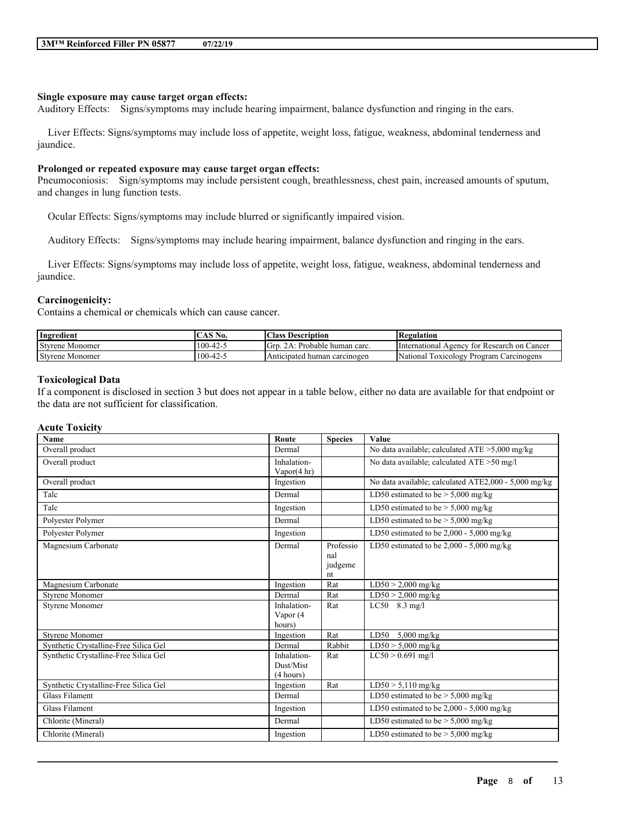#### **Single exposure may cause target organ effects:**

Auditory Effects: Signs/symptoms may include hearing impairment, balance dysfunction and ringing in the ears.

Liver Effects: Signs/symptoms may include loss of appetite, weight loss, fatigue, weakness, abdominal tenderness and jaundice.

#### **Prolonged or repeated exposure may cause target organ effects:**

Pneumoconiosis: Sign/symptoms may include persistent cough, breathlessness, chest pain, increased amounts of sputum, and changes in lung function tests.

Ocular Effects: Signs/symptoms may include blurred or significantly impaired vision.

Auditory Effects: Signs/symptoms may include hearing impairment, balance dysfunction and ringing in the ears.

Liver Effects: Signs/symptoms may include loss of appetite, weight loss, fatigue, weakness, abdominal tenderness and jaundice.

#### **Carcinogenicity:**

Contains a chemical or chemicals which can cause cancer.

| Ingredient         | $\triangle$ AS $\Gamma$<br>N0. | Class<br>Description                 | Regulation                                                     |
|--------------------|--------------------------------|--------------------------------------|----------------------------------------------------------------|
| Styrene<br>Monomer | $100-42-$                      | Grd<br>Probable<br>• human carc.     | International<br>Cancer<br>Research<br>tor<br>-on<br>Agency    |
| Styrene<br>Monomer | $100 - 42 - 5$                 | Anticipated<br>carcinogen<br>l human | <b>STATE</b><br>l oxicology<br>National<br>Program Carcinogens |

#### **Toxicological Data**

If a component is disclosed in section 3 but does not appear in a table below, either no data are available for that endpoint or the data are not sufficient for classification.

#### **Acute Toxicity**

| <b>Name</b>                           | Route                                 | <b>Species</b>                    | Value                                                        |
|---------------------------------------|---------------------------------------|-----------------------------------|--------------------------------------------------------------|
| Overall product                       | Dermal                                |                                   | No data available; calculated $ATE > 5,000$ mg/kg            |
| Overall product                       | Inhalation-<br>Vapor $(4 hr)$         |                                   | No data available; calculated ATE >50 mg/l                   |
| Overall product                       | Ingestion                             |                                   | No data available; calculated ATE2,000 - 5,000 mg/kg         |
| Talc                                  | Dermal                                |                                   | LD50 estimated to be $> 5,000$ mg/kg                         |
| Talc                                  | Ingestion                             |                                   | LD50 estimated to be $> 5,000$ mg/kg                         |
| Polyester Polymer                     | Dermal                                |                                   | $\overline{\text{LD50}}$ estimated to be > 5,000 mg/kg       |
| Polyester Polymer                     | Ingestion                             |                                   | $\overline{\text{LD50}}$ estimated to be 2,000 - 5,000 mg/kg |
| Magnesium Carbonate                   | Dermal                                | Professio<br>nal<br>judgeme<br>nt | LD50 estimated to be $2,000 - 5,000$ mg/kg                   |
| Magnesium Carbonate                   | Ingestion                             | Rat                               | $LD50 > 2,000$ mg/kg                                         |
| <b>Styrene Monomer</b>                | Dermal                                | Rat                               | $LD50 > 2,000$ mg/kg                                         |
| Styrene Monomer                       | Inhalation-<br>Vapor (4<br>hours)     | Rat                               | $LC50$ 8.3 mg/l                                              |
| <b>Styrene Monomer</b>                | Ingestion                             | Rat                               | $5,000$ mg/kg<br>LD50                                        |
| Synthetic Crystalline-Free Silica Gel | Dermal                                | Rabbit                            | $LD50 > 5,000$ mg/kg                                         |
| Synthetic Crystalline-Free Silica Gel | Inhalation-<br>Dust/Mist<br>(4 hours) | Rat                               | $LC50 > 0.691$ mg/l                                          |
| Synthetic Crystalline-Free Silica Gel | Ingestion                             | Rat                               | $LD50 > 5,110$ mg/kg                                         |
| Glass Filament                        | Dermal                                |                                   | LD50 estimated to be $> 5,000$ mg/kg                         |
| <b>Glass Filament</b>                 | Ingestion                             |                                   | LD50 estimated to be $2,000 - 5,000$ mg/kg                   |
| Chlorite (Mineral)                    | Dermal                                |                                   | $\overline{\text{LD50}}$ estimated to be > 5,000 mg/kg       |
| Chlorite (Mineral)                    | Ingestion                             |                                   | LD50 estimated to be $>$ 5,000 mg/kg                         |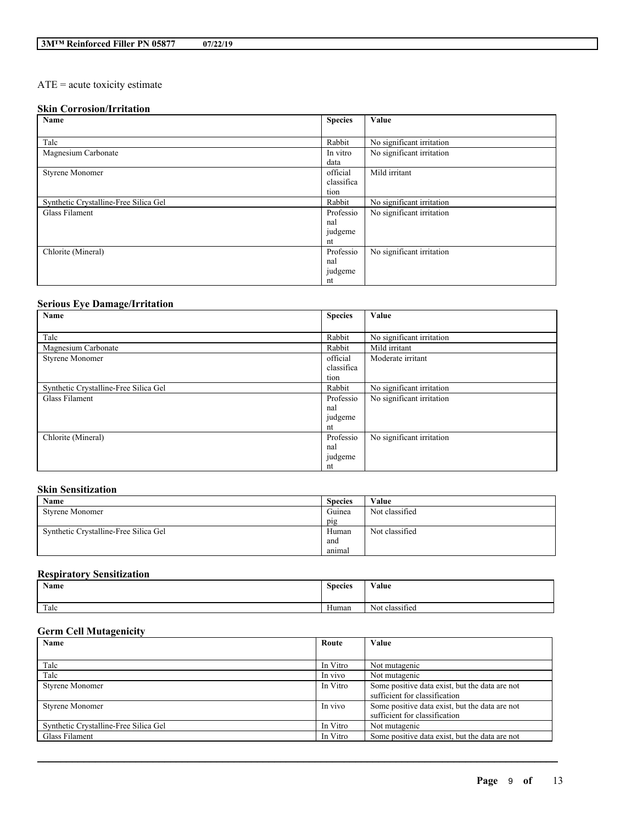# ATE = acute toxicity estimate

# **Skin Corrosion/Irritation**

| Name                                  | <b>Species</b> | Value                     |
|---------------------------------------|----------------|---------------------------|
|                                       |                |                           |
| Talc                                  | Rabbit         | No significant irritation |
| Magnesium Carbonate                   | In vitro       | No significant irritation |
|                                       | data           |                           |
| <b>Styrene Monomer</b>                | official       | Mild irritant             |
|                                       | classifica     |                           |
|                                       | tion           |                           |
| Synthetic Crystalline-Free Silica Gel | Rabbit         | No significant irritation |
| Glass Filament                        | Professio      | No significant irritation |
|                                       | nal            |                           |
|                                       | judgeme        |                           |
|                                       | nt             |                           |
| Chlorite (Mineral)                    | Professio      | No significant irritation |
|                                       | nal            |                           |
|                                       | judgeme        |                           |
|                                       | nt             |                           |

# **Serious Eye Damage/Irritation**

| Name                                  | <b>Species</b> | Value                     |
|---------------------------------------|----------------|---------------------------|
|                                       |                |                           |
| Talc                                  | Rabbit         | No significant irritation |
| Magnesium Carbonate                   | Rabbit         | Mild irritant             |
| <b>Styrene Monomer</b>                | official       | Moderate irritant         |
|                                       | classifica     |                           |
|                                       | tion           |                           |
| Synthetic Crystalline-Free Silica Gel | Rabbit         | No significant irritation |
| Glass Filament                        | Professio      | No significant irritation |
|                                       | nal            |                           |
|                                       | judgeme        |                           |
|                                       | nt             |                           |
| Chlorite (Mineral)                    | Professio      | No significant irritation |
|                                       | nal            |                           |
|                                       | judgeme        |                           |
|                                       | nt             |                           |

### **Skin Sensitization**

| Name                                  | <b>Species</b> | Value          |
|---------------------------------------|----------------|----------------|
| <b>Styrene Monomer</b>                | Guinea         | Not classified |
|                                       | pig            |                |
| Synthetic Crystalline-Free Silica Gel | Human          | Not classified |
|                                       | and            |                |
|                                       | anımal         |                |

# **Respiratory Sensitization**

|      | Name | <b>Species</b> | Value                                            |
|------|------|----------------|--------------------------------------------------|
| Talc |      | Human          | $\cdot$ $\sim$<br>$\mathbf{v}$<br>Not classified |

# **Germ Cell Mutagenicity**

| Name                                  | Route    | Value                                          |
|---------------------------------------|----------|------------------------------------------------|
|                                       |          |                                                |
| Talc                                  | In Vitro | Not mutagenic                                  |
| Talc                                  | In vivo  | Not mutagenic                                  |
| <b>Styrene Monomer</b>                | In Vitro | Some positive data exist, but the data are not |
|                                       |          | sufficient for classification                  |
| <b>Styrene Monomer</b>                | In vivo  | Some positive data exist, but the data are not |
|                                       |          | sufficient for classification                  |
| Synthetic Crystalline-Free Silica Gel | In Vitro | Not mutagenic                                  |
| Glass Filament                        | In Vitro | Some positive data exist, but the data are not |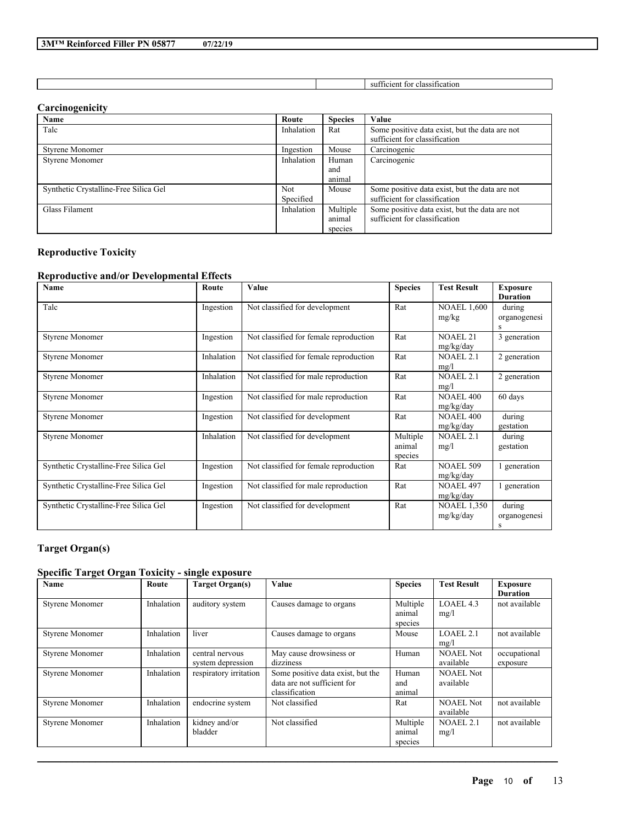| 07/22/19 |
|----------|
|----------|

sufficient for classification

### **Carcinogenicity**

| Name                                  | Route      | <b>Species</b> | Value                                          |
|---------------------------------------|------------|----------------|------------------------------------------------|
| Talc                                  | Inhalation | Rat            | Some positive data exist, but the data are not |
|                                       |            |                | sufficient for classification                  |
| <b>Styrene Monomer</b>                | Ingestion  | Mouse          | Carcinogenic                                   |
| <b>Styrene Monomer</b>                | Inhalation | Human          | Carcinogenic                                   |
|                                       |            | and            |                                                |
|                                       |            | animal         |                                                |
| Synthetic Crystalline-Free Silica Gel | Not        | Mouse          | Some positive data exist, but the data are not |
|                                       | Specified  |                | sufficient for classification                  |
| Glass Filament                        | Inhalation | Multiple       | Some positive data exist, but the data are not |
|                                       |            | animal         | sufficient for classification                  |
|                                       |            | species        |                                                |

# **Reproductive Toxicity**

# **Reproductive and/or Developmental Effects**

| Name                                  | Route      | Value                                  | <b>Species</b>                | <b>Test Result</b>               | <b>Exposure</b><br><b>Duration</b> |
|---------------------------------------|------------|----------------------------------------|-------------------------------|----------------------------------|------------------------------------|
| Talc                                  | Ingestion  | Not classified for development         | Rat                           | <b>NOAEL 1,600</b><br>mg/kg      | during<br>organogenesi<br>s        |
| <b>Styrene Monomer</b>                | Ingestion  | Not classified for female reproduction | Rat                           | NOAEL <sub>21</sub><br>mg/kg/day | 3 generation                       |
| <b>Styrene Monomer</b>                | Inhalation | Not classified for female reproduction | Rat                           | <b>NOAEL 2.1</b><br>mg/l         | 2 generation                       |
| <b>Styrene Monomer</b>                | Inhalation | Not classified for male reproduction   | Rat                           | NOAEL 2.1<br>mg/l                | 2 generation                       |
| Styrene Monomer                       | Ingestion  | Not classified for male reproduction   | Rat                           | <b>NOAEL 400</b><br>mg/kg/day    | 60 days                            |
| <b>Styrene Monomer</b>                | Ingestion  | Not classified for development         | Rat                           | <b>NOAEL 400</b><br>mg/kg/day    | during<br>gestation                |
| <b>Styrene Monomer</b>                | Inhalation | Not classified for development         | Multiple<br>animal<br>species | <b>NOAEL 2.1</b><br>mg/l         | during<br>gestation                |
| Synthetic Crystalline-Free Silica Gel | Ingestion  | Not classified for female reproduction | Rat                           | <b>NOAEL 509</b><br>mg/kg/day    | 1 generation                       |
| Synthetic Crystalline-Free Silica Gel | Ingestion  | Not classified for male reproduction   | Rat                           | <b>NOAEL 497</b><br>mg/kg/day    | 1 generation                       |
| Synthetic Crystalline-Free Silica Gel | Ingestion  | Not classified for development         | Rat                           | <b>NOAEL 1.350</b><br>mg/kg/day  | during<br>organogenesi<br>S        |

# **Target Organ(s)**

# **Specific Target Organ Toxicity - single exposure**

| Name                   | Route      | <b>Target Organ(s)</b>               | Value                                                                              | <b>Species</b>                | <b>Test Result</b>            | <b>Exposure</b><br><b>Duration</b> |
|------------------------|------------|--------------------------------------|------------------------------------------------------------------------------------|-------------------------------|-------------------------------|------------------------------------|
| <b>Styrene Monomer</b> | Inhalation | auditory system                      | Causes damage to organs                                                            | Multiple<br>animal<br>species | LOAEL 4.3<br>mg/l             | not available                      |
| <b>Styrene Monomer</b> | Inhalation | liver                                | Causes damage to organs                                                            | Mouse                         | LOAEL2.1<br>mg/l              | not available                      |
| <b>Styrene Monomer</b> | Inhalation | central nervous<br>system depression | May cause drowsiness or<br>dizziness                                               | Human                         | <b>NOAEL Not</b><br>available | occupational<br>exposure           |
| <b>Styrene Monomer</b> | Inhalation | respiratory irritation               | Some positive data exist, but the<br>data are not sufficient for<br>classification | Human<br>and<br>animal        | <b>NOAEL Not</b><br>available |                                    |
| <b>Styrene Monomer</b> | Inhalation | endocrine system                     | Not classified                                                                     | Rat                           | <b>NOAEL Not</b><br>available | not available                      |
| <b>Styrene Monomer</b> | Inhalation | kidney and/or<br>bladder             | Not classified                                                                     | Multiple<br>animal<br>species | NOAEL 2.1<br>mg/l             | not available                      |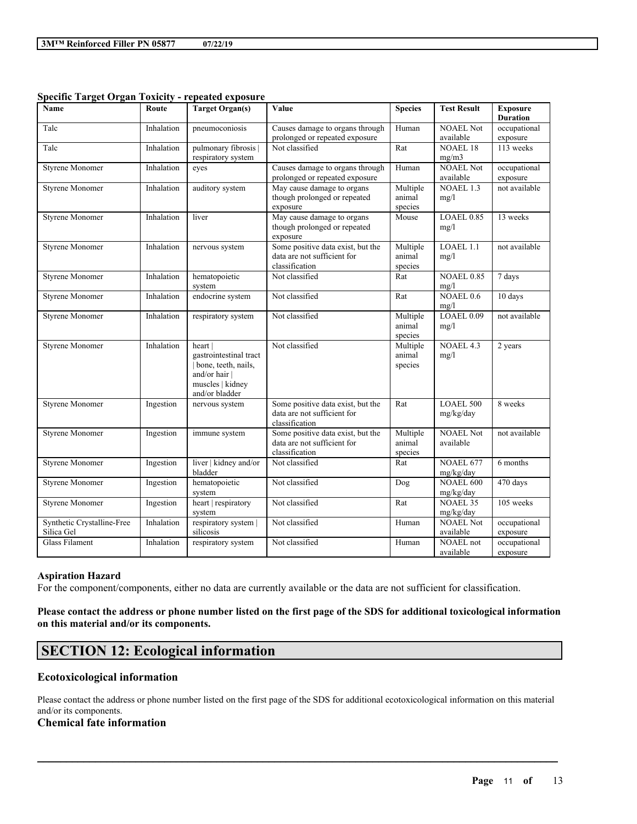| $\frac{1}{2}$<br>Name                    | Route      | penten exposure<br><b>Target Organ(s)</b>                                                                       | Value                                                                              | <b>Species</b>                | <b>Test Result</b>            | <b>Exposure</b>          |
|------------------------------------------|------------|-----------------------------------------------------------------------------------------------------------------|------------------------------------------------------------------------------------|-------------------------------|-------------------------------|--------------------------|
|                                          |            |                                                                                                                 |                                                                                    |                               |                               | <b>Duration</b>          |
| Talc                                     | Inhalation | pneumoconiosis                                                                                                  | Causes damage to organs through<br>prolonged or repeated exposure                  | Human                         | <b>NOAEL Not</b><br>available | occupational<br>exposure |
| Talc                                     | Inhalation | pulmonary fibrosis<br>respiratory system                                                                        | Not classified                                                                     | Rat                           | <b>NOAEL 18</b><br>mg/m3      | 113 weeks                |
| Styrene Monomer                          | Inhalation | eyes                                                                                                            | Causes damage to organs through<br>prolonged or repeated exposure                  | Human                         | <b>NOAEL Not</b><br>available | occupational<br>exposure |
| <b>Styrene Monomer</b>                   | Inhalation | auditory system                                                                                                 | May cause damage to organs<br>though prolonged or repeated<br>exposure             | Multiple<br>animal<br>species | NOAEL 1.3<br>mg/l             | not available            |
| Styrene Monomer                          | Inhalation | liver                                                                                                           | May cause damage to organs<br>though prolonged or repeated<br>exposure             | Mouse                         | LOAEL 0.85<br>mg/l            | 13 weeks                 |
| <b>Styrene Monomer</b>                   | Inhalation | nervous system                                                                                                  | Some positive data exist, but the<br>data are not sufficient for<br>classification | Multiple<br>animal<br>species | LOAEL 1.1<br>mg/l             | not available            |
| <b>Styrene Monomer</b>                   | Inhalation | hematopoietic<br>system                                                                                         | Not classified                                                                     | Rat                           | <b>NOAEL 0.85</b><br>mg/l     | $7$ days                 |
| <b>Styrene Monomer</b>                   | Inhalation | endocrine system                                                                                                | Not classified                                                                     | Rat                           | NOAEL <sub>0.6</sub><br>mg/l  | 10 days                  |
| <b>Styrene Monomer</b>                   | Inhalation | respiratory system                                                                                              | Not classified                                                                     | Multiple<br>animal<br>species | LOAEL $0.09$<br>mg/l          | not available            |
| <b>Styrene Monomer</b>                   | Inhalation | heart  <br>gastrointestinal tract<br>bone, teeth, nails,<br>and/or hair  <br>muscles   kidney<br>and/or bladder | Not classified                                                                     | Multiple<br>animal<br>species | NOAEL 4.3<br>mg/l             | 2 years                  |
| <b>Styrene Monomer</b>                   | Ingestion  | nervous system                                                                                                  | Some positive data exist, but the<br>data are not sufficient for<br>classification | Rat                           | <b>LOAEL 500</b><br>mg/kg/day | 8 weeks                  |
| <b>Styrene Monomer</b>                   | Ingestion  | immune system                                                                                                   | Some positive data exist, but the<br>data are not sufficient for<br>classification | Multiple<br>animal<br>species | <b>NOAEL Not</b><br>available | not available            |
| <b>Styrene Monomer</b>                   | Ingestion  | liver   kidney and/or<br>bladder                                                                                | Not classified                                                                     | Rat                           | NOAEL 677<br>mg/kg/day        | 6 months                 |
| <b>Styrene Monomer</b>                   | Ingestion  | hematopoietic<br>system                                                                                         | Not classified                                                                     | Dog                           | <b>NOAEL 600</b><br>mg/kg/day | 470 days                 |
| <b>Styrene Monomer</b>                   | Ingestion  | heart   respiratory<br>system                                                                                   | Not classified                                                                     | Rat                           | <b>NOAEL 35</b><br>mg/kg/day  | 105 weeks                |
| Synthetic Crystalline-Free<br>Silica Gel | Inhalation | respiratory system  <br>silicosis                                                                               | Not classified                                                                     | Human                         | <b>NOAEL Not</b><br>available | occupational<br>exposure |
| Glass Filament                           | Inhalation | respiratory system                                                                                              | Not classified                                                                     | Human                         | NOAEL not<br>available        | occupational<br>exposure |

#### **Specific Target Organ Toxicity - repeated exposure**

#### **Aspiration Hazard**

For the component/components, either no data are currently available or the data are not sufficient for classification.

# Please contact the address or phone number listed on the first page of the SDS for additional toxicological information **on this material and/or its components.**

# **SECTION 12: Ecological information**

### **Ecotoxicological information**

Please contact the address or phone number listed on the first page of the SDS for additional ecotoxicological information on this material and/or its components.

 $\mathcal{L}_\mathcal{L} = \mathcal{L}_\mathcal{L} = \mathcal{L}_\mathcal{L} = \mathcal{L}_\mathcal{L} = \mathcal{L}_\mathcal{L} = \mathcal{L}_\mathcal{L} = \mathcal{L}_\mathcal{L} = \mathcal{L}_\mathcal{L} = \mathcal{L}_\mathcal{L} = \mathcal{L}_\mathcal{L} = \mathcal{L}_\mathcal{L} = \mathcal{L}_\mathcal{L} = \mathcal{L}_\mathcal{L} = \mathcal{L}_\mathcal{L} = \mathcal{L}_\mathcal{L} = \mathcal{L}_\mathcal{L} = \mathcal{L}_\mathcal{L}$ 

#### **Chemical fate information**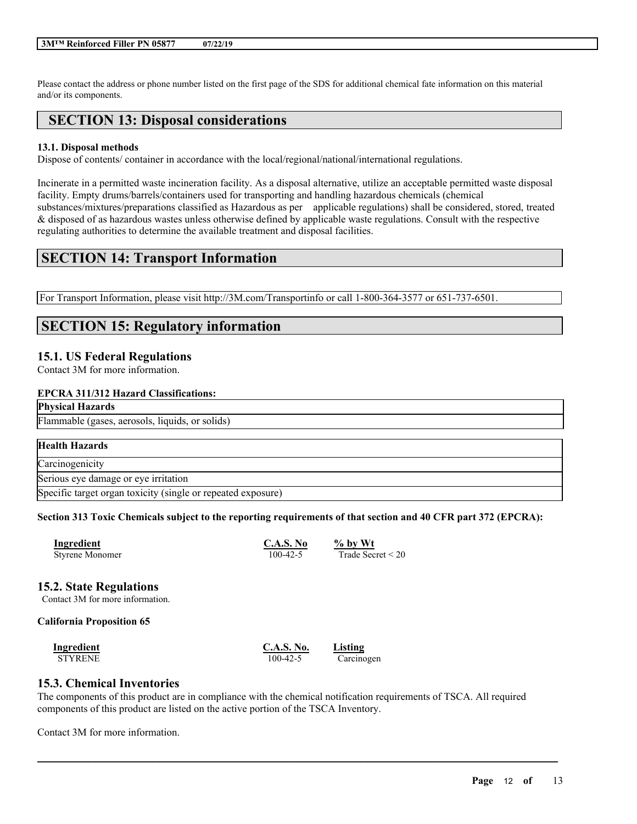Please contact the address or phone number listed on the first page of the SDS for additional chemical fate information on this material and/or its components.

# **SECTION 13: Disposal considerations**

#### **13.1. Disposal methods**

Dispose of contents/ container in accordance with the local/regional/national/international regulations.

Incinerate in a permitted waste incineration facility. As a disposal alternative, utilize an acceptable permitted waste disposal facility. Empty drums/barrels/containers used for transporting and handling hazardous chemicals (chemical substances/mixtures/preparations classified as Hazardous as per applicable regulations) shall be considered, stored, treated & disposed of as hazardous wastes unless otherwise defined by applicable waste regulations. Consult with the respective regulating authorities to determine the available treatment and disposal facilities.

# **SECTION 14: Transport Information**

For Transport Information, please visit http://3M.com/Transportinfo or call 1-800-364-3577 or 651-737-6501.

# **SECTION 15: Regulatory information**

### **15.1. US Federal Regulations**

Contact 3M for more information.

### **EPCRA 311/312 Hazard Classifications:**

#### **Physical Hazards**

#### Flammable (gases, aerosols, liquids, or solids)

| <b>Health Hazards</b>                                        |  |
|--------------------------------------------------------------|--|
| Carcinogenicity                                              |  |
| Serious eye damage or eye irritation                         |  |
| Specific target organ toxicity (single or repeated exposure) |  |

#### Section 313 Toxic Chemicals subject to the reporting requirements of that section and 40 CFR part 372 (EPCRA):

| <b>Ingredient</b>      | C.A.S. No      | $%$ by Wt           |
|------------------------|----------------|---------------------|
| <b>Styrene Monomer</b> | $100 - 42 - 5$ | Trade Secret $<$ 20 |

### **15.2. State Regulations**

Contact 3M for more information.

#### **California Proposition 65**

| Ingredient     | <b>C.A.S. No.</b> | Listing    |
|----------------|-------------------|------------|
| <b>STYRENE</b> | 100-42-5          | Carcinogen |

### **15.3. Chemical Inventories**

The components of this product are in compliance with the chemical notification requirements of TSCA. All required components of this product are listed on the active portion of the TSCA Inventory.

 $\mathcal{L}_\mathcal{L} = \mathcal{L}_\mathcal{L} = \mathcal{L}_\mathcal{L} = \mathcal{L}_\mathcal{L} = \mathcal{L}_\mathcal{L} = \mathcal{L}_\mathcal{L} = \mathcal{L}_\mathcal{L} = \mathcal{L}_\mathcal{L} = \mathcal{L}_\mathcal{L} = \mathcal{L}_\mathcal{L} = \mathcal{L}_\mathcal{L} = \mathcal{L}_\mathcal{L} = \mathcal{L}_\mathcal{L} = \mathcal{L}_\mathcal{L} = \mathcal{L}_\mathcal{L} = \mathcal{L}_\mathcal{L} = \mathcal{L}_\mathcal{L}$ 

Contact 3M for more information.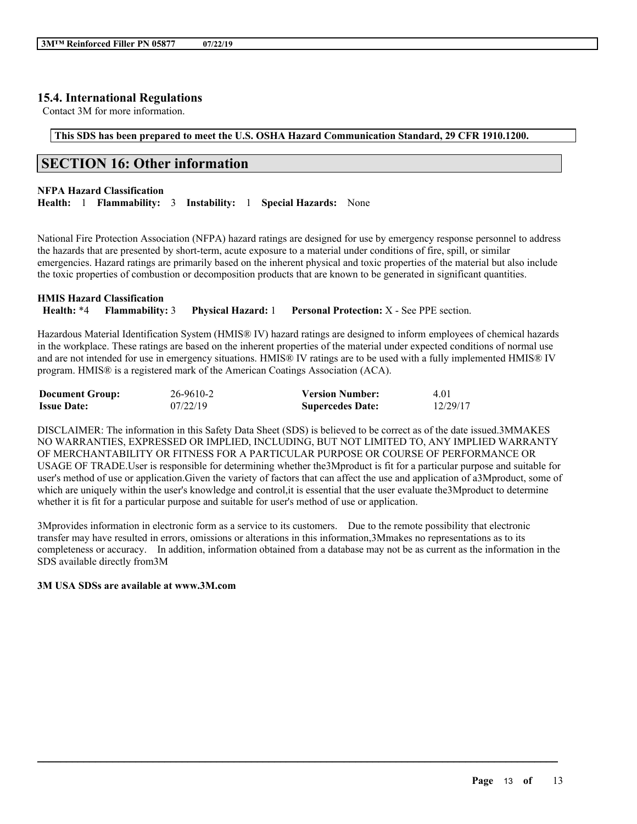## **15.4. International Regulations**

Contact 3M for more information.

# **This SDS has been prepared to meet the U.S. OSHA Hazard Communication Standard, 29 CFR 1910.1200.**

# **SECTION 16: Other information**

#### **NFPA Hazard Classification**

**Health:** 1 **Flammability:** 3 **Instability:** 1 **Special Hazards:** None

National Fire Protection Association (NFPA) hazard ratings are designed for use by emergency response personnel to address the hazards that are presented by short-term, acute exposure to a material under conditions of fire, spill, or similar emergencies. Hazard ratings are primarily based on the inherent physical and toxic properties of the material but also include the toxic properties of combustion or decomposition products that are known to be generated in significant quantities.

| <b>HMIS Hazard Classification</b> |                           |                                                  |
|-----------------------------------|---------------------------|--------------------------------------------------|
| <b>Health: *4 Flammability: 3</b> | <b>Physical Hazard:</b> 1 | <b>Personal Protection:</b> X - See PPE section. |

Hazardous Material Identification System (HMIS® IV) hazard ratings are designed to inform employees of chemical hazards in the workplace. These ratings are based on the inherent properties of the material under expected conditions of normal use and are not intended for use in emergency situations. HMIS® IV ratings are to be used with a fully implemented HMIS® IV program. HMIS® is a registered mark of the American Coatings Association (ACA).

| <b>Document Group:</b> | 26-9610-2 | <b>Version Number:</b>  | 4.01     |
|------------------------|-----------|-------------------------|----------|
| <b>Issue Date:</b>     | 07/22/19  | <b>Supercedes Date:</b> | 12/29/17 |

DISCLAIMER: The information in this Safety Data Sheet (SDS) is believed to be correct as of the date issued.3MMAKES NO WARRANTIES, EXPRESSED OR IMPLIED, INCLUDING, BUT NOT LIMITED TO, ANY IMPLIED WARRANTY OF MERCHANTABILITY OR FITNESS FOR A PARTICULAR PURPOSE OR COURSE OF PERFORMANCE OR USAGE OF TRADE.User is responsible for determining whether the3Mproduct is fit for a particular purpose and suitable for user's method of use or application.Given the variety of factors that can affect the use and application of a3Mproduct, some of which are uniquely within the user's knowledge and control, it is essential that the user evaluate the3Mproduct to determine whether it is fit for a particular purpose and suitable for user's method of use or application.

3Mprovides information in electronic form as a service to its customers. Due to the remote possibility that electronic transfer may have resulted in errors, omissions or alterations in this information,3Mmakes no representations as to its completeness or accuracy. In addition, information obtained from a database may not be as current as the information in the SDS available directly from3M

 $\mathcal{L}_\mathcal{L} = \mathcal{L}_\mathcal{L} = \mathcal{L}_\mathcal{L} = \mathcal{L}_\mathcal{L} = \mathcal{L}_\mathcal{L} = \mathcal{L}_\mathcal{L} = \mathcal{L}_\mathcal{L} = \mathcal{L}_\mathcal{L} = \mathcal{L}_\mathcal{L} = \mathcal{L}_\mathcal{L} = \mathcal{L}_\mathcal{L} = \mathcal{L}_\mathcal{L} = \mathcal{L}_\mathcal{L} = \mathcal{L}_\mathcal{L} = \mathcal{L}_\mathcal{L} = \mathcal{L}_\mathcal{L} = \mathcal{L}_\mathcal{L}$ 

#### **3M USA SDSs are available at www.3M.com**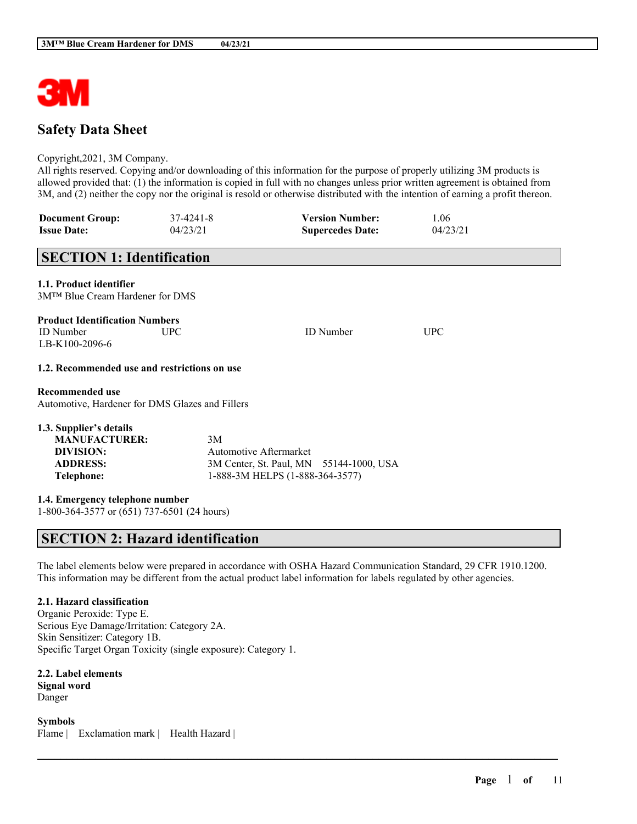

# **Safety Data Sheet**

#### Copyright,2021, 3M Company.

All rights reserved. Copying and/or downloading of this information for the purpose of properly utilizing 3M products is allowed provided that: (1) the information is copied in full with no changes unless prior written agreement is obtained from 3M, and (2) neither the copy nor the original is resold or otherwise distributed with the intention of earning a profit thereon.

| <b>Document Group:</b> | 37-4241-8 | <b>Version Number:</b>  | 1.06     |
|------------------------|-----------|-------------------------|----------|
| <b>Issue Date:</b>     | 04/23/21  | <b>Supercedes Date:</b> | 04/23/21 |

# **SECTION 1: Identification**

#### **1.1. Product identifier**

3M™ Blue Cream Hardener for DMS

|  | <b>Product Identification Numbers</b> |  |
|--|---------------------------------------|--|
|  |                                       |  |

ID Number UPC ID Number UPC LB-K100-2096-6

#### **1.2. Recommended use and restrictions on use**

#### **Recommended use**

Automotive, Hardener for DMS Glazes and Fillers

| 1.3. Supplier's details |                                         |
|-------------------------|-----------------------------------------|
| <b>MANUFACTURER:</b>    | 3M                                      |
| DIVISION:               | Automotive Aftermarket                  |
| <b>ADDRESS:</b>         | 3M Center, St. Paul, MN 55144-1000, USA |
| Telephone:              | 1-888-3M HELPS (1-888-364-3577)         |

**1.4. Emergency telephone number**

1-800-364-3577 or (651) 737-6501 (24 hours)

# **SECTION 2: Hazard identification**

The label elements below were prepared in accordance with OSHA Hazard Communication Standard, 29 CFR 1910.1200. This information may be different from the actual product label information for labels regulated by other agencies.

 $\mathcal{L}_\mathcal{L} = \mathcal{L}_\mathcal{L} = \mathcal{L}_\mathcal{L} = \mathcal{L}_\mathcal{L} = \mathcal{L}_\mathcal{L} = \mathcal{L}_\mathcal{L} = \mathcal{L}_\mathcal{L} = \mathcal{L}_\mathcal{L} = \mathcal{L}_\mathcal{L} = \mathcal{L}_\mathcal{L} = \mathcal{L}_\mathcal{L} = \mathcal{L}_\mathcal{L} = \mathcal{L}_\mathcal{L} = \mathcal{L}_\mathcal{L} = \mathcal{L}_\mathcal{L} = \mathcal{L}_\mathcal{L} = \mathcal{L}_\mathcal{L}$ 

### **2.1. Hazard classification**

Organic Peroxide: Type E. Serious Eye Damage/Irritation: Category 2A. Skin Sensitizer: Category 1B. Specific Target Organ Toxicity (single exposure): Category 1.

**2.2. Label elements Signal word** Danger

**Symbols** Flame | Exclamation mark | Health Hazard |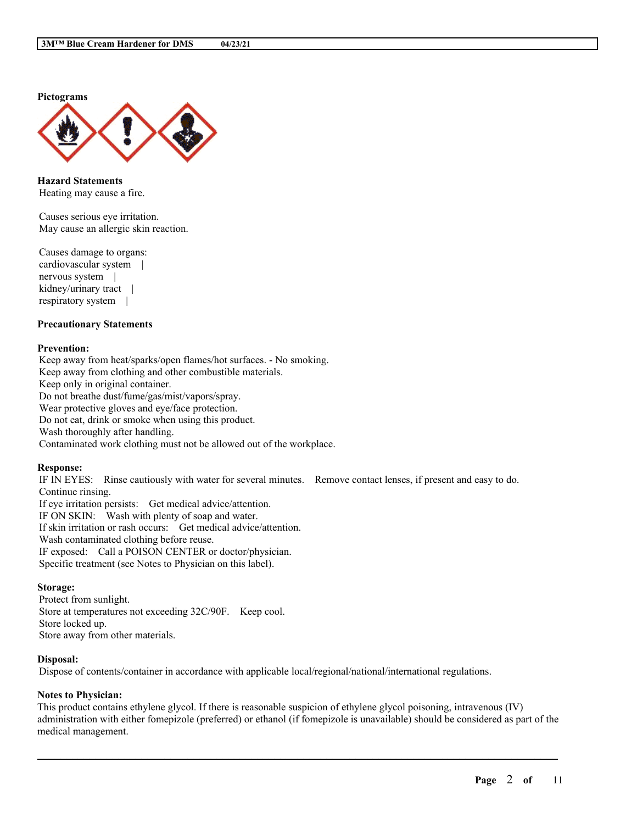**Pictograms**



**Hazard Statements** Heating may cause a fire.

Causes serious eye irritation. May cause an allergic skin reaction.

Causes damage to organs: cardiovascular system | nervous system | kidney/urinary tract | respiratory system |

#### **Precautionary Statements**

#### **Prevention:**

Keep away from heat/sparks/open flames/hot surfaces. - No smoking. Keep away from clothing and other combustible materials. Keep only in original container. Do not breathe dust/fume/gas/mist/vapors/spray. Wear protective gloves and eye/face protection. Do not eat, drink or smoke when using this product. Wash thoroughly after handling. Contaminated work clothing must not be allowed out of the workplace.

#### **Response:**

IF IN EYES: Rinse cautiously with water for several minutes. Remove contact lenses, if present and easy to do. Continue rinsing. If eye irritation persists: Get medical advice/attention. IF ON SKIN: Wash with plenty of soap and water. If skin irritation or rash occurs: Get medical advice/attention. Wash contaminated clothing before reuse. IF exposed: Call a POISON CENTER or doctor/physician.

Specific treatment (see Notes to Physician on this label).

#### **Storage:**

Protect from sunlight. Store at temperatures not exceeding 32C/90F. Keep cool. Store locked up. Store away from other materials.

#### **Disposal:**

Dispose of contents/container in accordance with applicable local/regional/national/international regulations.

#### **Notes to Physician:**

This product contains ethylene glycol. If there is reasonable suspicion of ethylene glycol poisoning, intravenous (IV) administration with either fomepizole (preferred) or ethanol (if fomepizole is unavailable) should be considered as part of the medical management.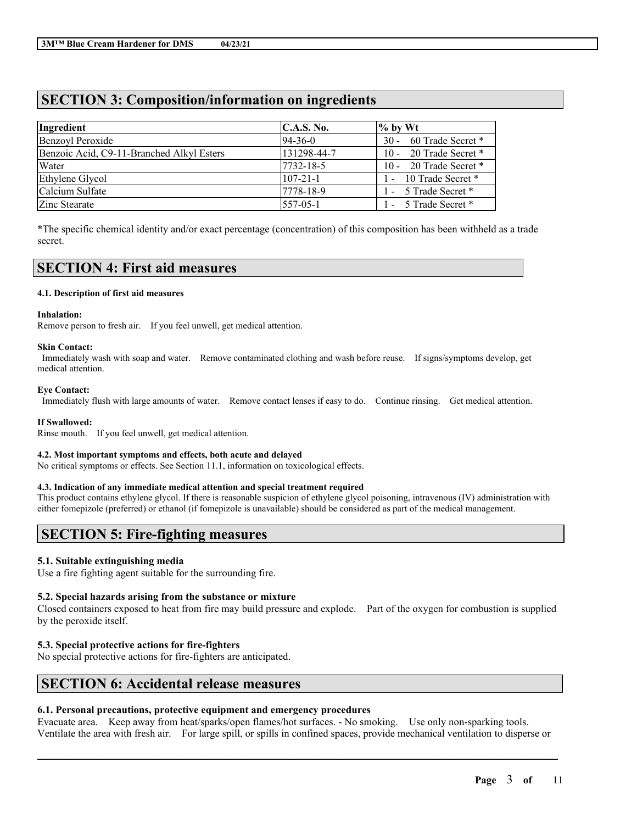# **SECTION 3: Composition/information on ingredients**

| Ingredient                                | C.A.S. No.     | $\%$ by Wt             |
|-------------------------------------------|----------------|------------------------|
| <b>Benzoyl Peroxide</b>                   | $ 94-36-0 $    | 30 - 60 Trade Secret * |
| Benzoic Acid, C9-11-Branched Alkyl Esters | 131298-44-7    | 10 - 20 Trade Secret * |
| Water                                     | 7732-18-5      | 10 - 20 Trade Secret * |
| Ethylene Glycol                           | $107 - 21 - 1$ | 1 - 10 Trade Secret *  |
| Calcium Sulfate                           | 7778-18-9      | 1 - 5 Trade Secret *   |
| Zinc Stearate                             | $ 557-05-1$    | 1 - 5 Trade Secret *   |

\*The specific chemical identity and/or exact percentage (concentration) of this composition has been withheld as a trade secret.

# **SECTION 4: First aid measures**

#### **4.1. Description of first aid measures**

#### **Inhalation:**

Remove person to fresh air. If you feel unwell, get medical attention.

#### **Skin Contact:**

Immediately wash with soap and water. Remove contaminated clothing and wash before reuse. If signs/symptoms develop, get medical attention.

#### **Eye Contact:**

Immediately flush with large amounts of water. Remove contact lenses if easy to do. Continue rinsing. Get medical attention.

#### **If Swallowed:**

Rinse mouth. If you feel unwell, get medical attention.

#### **4.2. Most important symptoms and effects, both acute and delayed**

No critical symptoms or effects. See Section 11.1, information on toxicological effects.

### **4.3. Indication of any immediate medical attention and special treatment required**

This product contains ethylene glycol. If there is reasonable suspicion of ethylene glycol poisoning, intravenous (IV) administration with either fomepizole (preferred) or ethanol (if fomepizole is unavailable) should be considered as part of the medical management.

# **SECTION 5: Fire-fighting measures**

### **5.1. Suitable extinguishing media**

Use a fire fighting agent suitable for the surrounding fire.

### **5.2. Special hazards arising from the substance or mixture**

Closed containers exposed to heat from fire may build pressure and explode. Part of the oxygen for combustion is supplied by the peroxide itself.

### **5.3. Special protective actions for fire-fighters**

No special protective actions for fire-fighters are anticipated.

# **SECTION 6: Accidental release measures**

# **6.1. Personal precautions, protective equipment and emergency procedures**

Evacuate area. Keep away from heat/sparks/open flames/hot surfaces. - No smoking. Use only non-sparking tools. Ventilate the area with fresh air. For large spill, or spills in confined spaces, provide mechanical ventilation to disperse or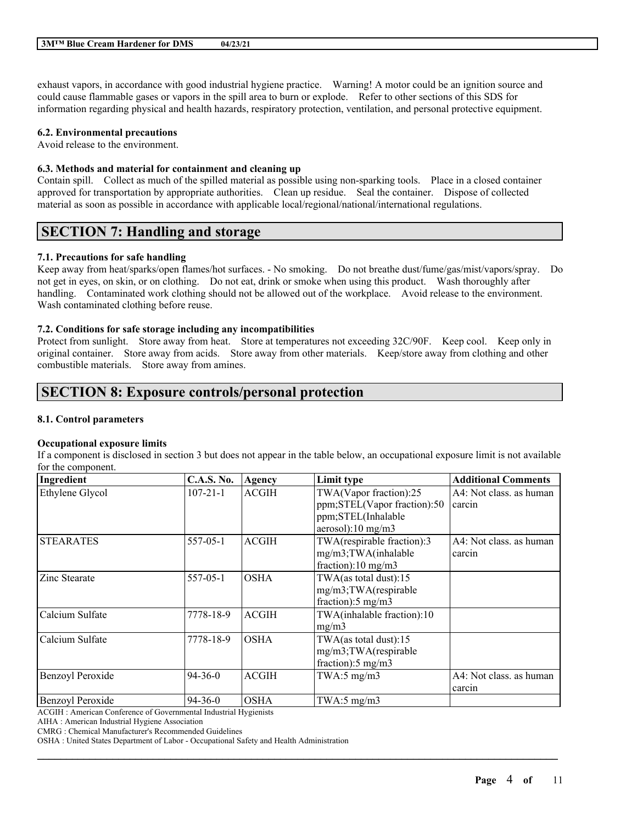exhaust vapors, in accordance with good industrial hygiene practice. Warning! A motor could be an ignition source and could cause flammable gases or vapors in the spill area to burn or explode. Refer to other sections of this SDS for information regarding physical and health hazards, respiratory protection, ventilation, and personal protective equipment.

#### **6.2. Environmental precautions**

Avoid release to the environment.

### **6.3. Methods and material for containment and cleaning up**

Contain spill. Collect as much of the spilled material as possible using non-sparking tools. Place in a closed container approved for transportation by appropriate authorities. Clean up residue. Seal the container. Dispose of collected material as soon as possible in accordance with applicable local/regional/national/international regulations.

# **SECTION 7: Handling and storage**

### **7.1. Precautions for safe handling**

Keep away from heat/sparks/open flames/hot surfaces. - No smoking. Do not breathe dust/fume/gas/mist/vapors/spray. Do not get in eyes, on skin, or on clothing. Do not eat, drink or smoke when using this product. Wash thoroughly after handling. Contaminated work clothing should not be allowed out of the workplace. Avoid release to the environment. Wash contaminated clothing before reuse.

#### **7.2. Conditions for safe storage including any incompatibilities**

Protect from sunlight. Store away from heat. Store at temperatures not exceeding 32C/90F. Keep cool. Keep only in original container. Store away from acids. Store away from other materials. Keep/store away from clothing and other combustible materials. Store away from amines.

# **SECTION 8: Exposure controls/personal protection**

#### **8.1. Control parameters**

#### **Occupational exposure limits**

If a component is disclosed in section 3 but does not appear in the table below, an occupational exposure limit is not available for the component.

| Ingredient              | <b>C.A.S. No.</b> | Agency       | Limit type                    | <b>Additional Comments</b> |
|-------------------------|-------------------|--------------|-------------------------------|----------------------------|
| Ethylene Glycol         | $107 - 21 - 1$    | <b>ACGIH</b> | TWA(Vapor fraction):25        | A4: Not class. as human    |
|                         |                   |              | ppm;STEL(Vapor fraction):50   | carcin                     |
|                         |                   |              | ppm;STEL(Inhalable            |                            |
|                         |                   |              | aerosol):10 mg/m3             |                            |
| <b>STEARATES</b>        | 557-05-1          | <b>ACGIH</b> | TWA(respirable fraction):3    | A4: Not class, as human    |
|                         |                   |              | mg/m3;TWA(inhalable           | carcin                     |
|                         |                   |              | fraction):10 mg/m3            |                            |
| <b>Zinc Stearate</b>    | $557-05-1$        | <b>OSHA</b>  | TWA(as total dust):15         |                            |
|                         |                   |              | mg/m3;TWA(respirable          |                            |
|                         |                   |              | fraction): $5 \text{ mg/m}$ 3 |                            |
| Calcium Sulfate         | 7778-18-9         | <b>ACGIH</b> | TWA(inhalable fraction):10    |                            |
|                         |                   |              | mg/m3                         |                            |
| Calcium Sulfate         | 7778-18-9         | <b>OSHA</b>  | TWA $(as$ total dust):15      |                            |
|                         |                   |              | mg/m3;TWA(respirable          |                            |
|                         |                   |              | fraction): $5 \text{ mg/m}$ 3 |                            |
| <b>Benzoyl Peroxide</b> | $94 - 36 - 0$     | <b>ACGIH</b> | TWA:5 $mg/m3$                 | A4: Not class, as human    |
|                         |                   |              |                               | carcin                     |
| <b>Benzoyl Peroxide</b> | $94 - 36 - 0$     | <b>OSHA</b>  | TWA:5 $mg/m3$                 |                            |

 $\mathcal{L}_\mathcal{L} = \mathcal{L}_\mathcal{L} = \mathcal{L}_\mathcal{L} = \mathcal{L}_\mathcal{L} = \mathcal{L}_\mathcal{L} = \mathcal{L}_\mathcal{L} = \mathcal{L}_\mathcal{L} = \mathcal{L}_\mathcal{L} = \mathcal{L}_\mathcal{L} = \mathcal{L}_\mathcal{L} = \mathcal{L}_\mathcal{L} = \mathcal{L}_\mathcal{L} = \mathcal{L}_\mathcal{L} = \mathcal{L}_\mathcal{L} = \mathcal{L}_\mathcal{L} = \mathcal{L}_\mathcal{L} = \mathcal{L}_\mathcal{L}$ 

ACGIH : American Conference of Governmental Industrial Hygienists

AIHA : American Industrial Hygiene Association

CMRG : Chemical Manufacturer's Recommended Guidelines

OSHA : United States Department of Labor - Occupational Safety and Health Administration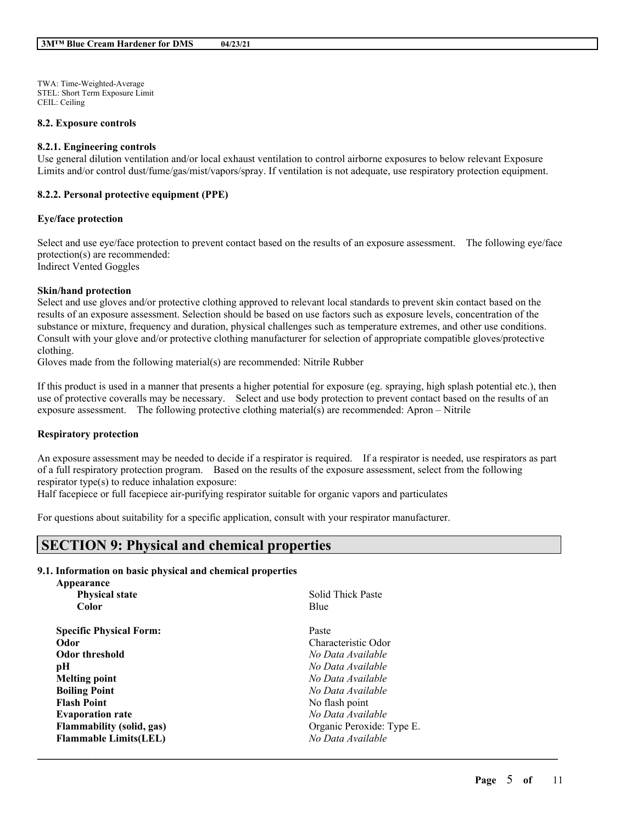TWA: Time-Weighted-Average STEL: Short Term Exposure Limit CEIL: Ceiling

#### **8.2. Exposure controls**

#### **8.2.1. Engineering controls**

Use general dilution ventilation and/or local exhaust ventilation to control airborne exposures to below relevant Exposure Limits and/or control dust/fume/gas/mist/vapors/spray. If ventilation is not adequate, use respiratory protection equipment.

#### **8.2.2. Personal protective equipment (PPE)**

#### **Eye/face protection**

Select and use eye/face protection to prevent contact based on the results of an exposure assessment. The following eye/face protection(s) are recommended: Indirect Vented Goggles

#### **Skin/hand protection**

Select and use gloves and/or protective clothing approved to relevant local standards to prevent skin contact based on the results of an exposure assessment. Selection should be based on use factors such as exposure levels, concentration of the substance or mixture, frequency and duration, physical challenges such as temperature extremes, and other use conditions. Consult with your glove and/or protective clothing manufacturer for selection of appropriate compatible gloves/protective clothing.

Gloves made from the following material(s) are recommended: Nitrile Rubber

If this product is used in a manner that presents a higher potential for exposure (eg. spraying, high splash potential etc.), then use of protective coveralls may be necessary. Select and use body protection to prevent contact based on the results of an exposure assessment. The following protective clothing material(s) are recommended: Apron – Nitrile

### **Respiratory protection**

An exposure assessment may be needed to decide if a respirator is required. If a respirator is needed, use respirators as part of a full respiratory protection program. Based on the results of the exposure assessment, select from the following respirator type(s) to reduce inhalation exposure:

 $\mathcal{L}_\mathcal{L} = \mathcal{L}_\mathcal{L} = \mathcal{L}_\mathcal{L} = \mathcal{L}_\mathcal{L} = \mathcal{L}_\mathcal{L} = \mathcal{L}_\mathcal{L} = \mathcal{L}_\mathcal{L} = \mathcal{L}_\mathcal{L} = \mathcal{L}_\mathcal{L} = \mathcal{L}_\mathcal{L} = \mathcal{L}_\mathcal{L} = \mathcal{L}_\mathcal{L} = \mathcal{L}_\mathcal{L} = \mathcal{L}_\mathcal{L} = \mathcal{L}_\mathcal{L} = \mathcal{L}_\mathcal{L} = \mathcal{L}_\mathcal{L}$ 

Half facepiece or full facepiece air-purifying respirator suitable for organic vapors and particulates

For questions about suitability for a specific application, consult with your respirator manufacturer.

# **SECTION 9: Physical and chemical properties**

#### **9.1. Information on basic physical and chemical properties Appearance**

| дрреатансе                       |                           |
|----------------------------------|---------------------------|
| <b>Physical state</b>            | Solid Thick Paste         |
| Color                            | Blue                      |
| <b>Specific Physical Form:</b>   | Paste                     |
| Odor                             | Characteristic Odor       |
| <b>Odor threshold</b>            | No Data Available         |
| рH                               | No Data Available         |
| <b>Melting point</b>             | No Data Available         |
| <b>Boiling Point</b>             | No Data Available         |
| <b>Flash Point</b>               | No flash point            |
| <b>Evaporation rate</b>          | No Data Available         |
| <b>Flammability (solid, gas)</b> | Organic Peroxide: Type E. |
| <b>Flammable Limits(LEL)</b>     | No Data Available         |
|                                  |                           |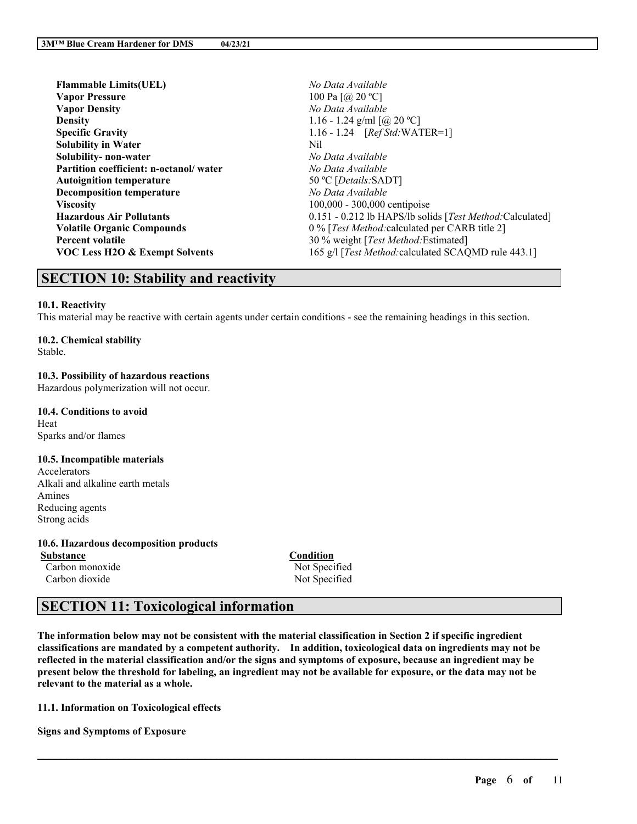| <b>Flammable Limits(UEL)</b>              | No Data Available                                        |
|-------------------------------------------|----------------------------------------------------------|
| <b>Vapor Pressure</b>                     | 100 Pa $[@, 20 °C]$                                      |
| <b>Vapor Density</b>                      | No Data Available                                        |
| <b>Density</b>                            | 1.16 - 1.24 g/ml $\left[\right. (a)$ 20 °C]              |
| <b>Specific Gravity</b>                   | 1.16 - 1.24 $[RefStd:WATER=1]$                           |
| <b>Solubility in Water</b>                | Nil                                                      |
| Solubility-non-water                      | No Data Available                                        |
| Partition coefficient: n-octanol/water    | No Data Available                                        |
| <b>Autoignition temperature</b>           | 50 °C [ <i>Details</i> :SADT]                            |
| <b>Decomposition temperature</b>          | No Data Available                                        |
| <b>Viscosity</b>                          | 100,000 - 300,000 centipoise                             |
| <b>Hazardous Air Pollutants</b>           | 0.151 - 0.212 lb HAPS/lb solids [Test Method:Calculated] |
| <b>Volatile Organic Compounds</b>         | 0 % [Test Method: calculated per CARB title 2]           |
| <b>Percent volatile</b>                   | 30 % weight [Test Method: Estimated]                     |
| <b>VOC Less H2O &amp; Exempt Solvents</b> | 165 g/l [Test Method: calculated SCAQMD rule 443.1]      |

# **SECTION 10: Stability and reactivity**

### **10.1. Reactivity**

This material may be reactive with certain agents under certain conditions - see the remaining headings in this section.

# **10.2. Chemical stability**

Stable.

#### **10.3. Possibility of hazardous reactions** Hazardous polymerization will not occur.

**10.4. Conditions to avoid** Heat Sparks and/or flames

### **10.5. Incompatible materials**

Accelerators Alkali and alkaline earth metals Amines Reducing agents Strong acids

**10.6. Hazardous decomposition products Substance Condition** Carbon monoxide Not Specified

Carbon dioxide Not Specified

# **SECTION 11: Toxicological information**

The information below may not be consistent with the material classification in Section 2 if specific ingredient **classifications are mandated by a competent authority. In addition, toxicological data on ingredients may not be** reflected in the material classification and/or the signs and symptoms of exposure, because an ingredient may be present below the threshold for labeling, an ingredient may not be available for exposure, or the data may not be **relevant to the material as a whole.**

 $\mathcal{L}_\mathcal{L} = \mathcal{L}_\mathcal{L} = \mathcal{L}_\mathcal{L} = \mathcal{L}_\mathcal{L} = \mathcal{L}_\mathcal{L} = \mathcal{L}_\mathcal{L} = \mathcal{L}_\mathcal{L} = \mathcal{L}_\mathcal{L} = \mathcal{L}_\mathcal{L} = \mathcal{L}_\mathcal{L} = \mathcal{L}_\mathcal{L} = \mathcal{L}_\mathcal{L} = \mathcal{L}_\mathcal{L} = \mathcal{L}_\mathcal{L} = \mathcal{L}_\mathcal{L} = \mathcal{L}_\mathcal{L} = \mathcal{L}_\mathcal{L}$ 

**11.1. Information on Toxicological effects**

**Signs and Symptoms of Exposure**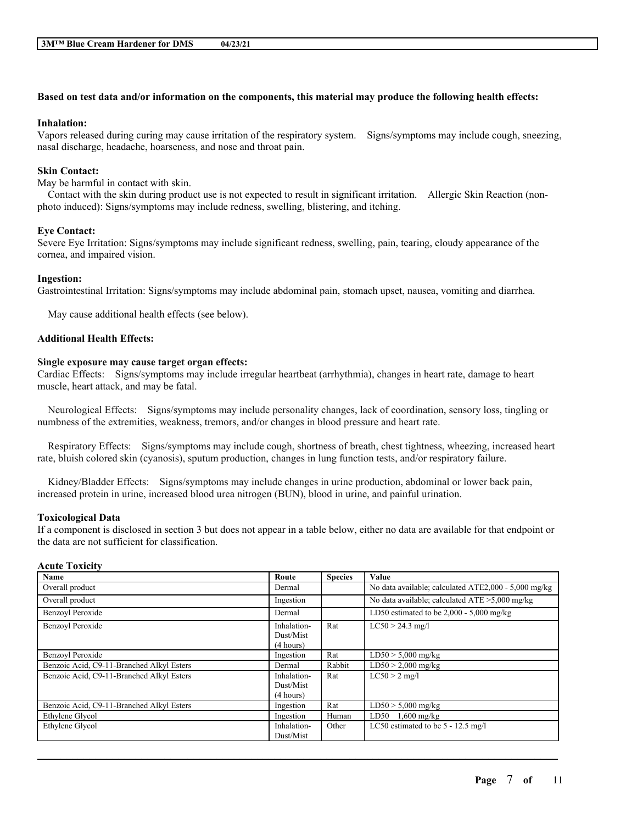### Based on test data and/or information on the components, this material may produce the following health effects:

### **Inhalation:**

Vapors released during curing may cause irritation of the respiratory system. Signs/symptoms may include cough, sneezing, nasal discharge, headache, hoarseness, and nose and throat pain.

### **Skin Contact:**

May be harmful in contact with skin.

Contact with the skin during product use is not expected to result in significant irritation. Allergic Skin Reaction (nonphoto induced): Signs/symptoms may include redness, swelling, blistering, and itching.

#### **Eye Contact:**

Severe Eye Irritation: Signs/symptoms may include significant redness, swelling, pain, tearing, cloudy appearance of the cornea, and impaired vision.

#### **Ingestion:**

Gastrointestinal Irritation: Signs/symptoms may include abdominal pain, stomach upset, nausea, vomiting and diarrhea.

May cause additional health effects (see below).

#### **Additional Health Effects:**

#### **Single exposure may cause target organ effects:**

Cardiac Effects: Signs/symptoms may include irregular heartbeat (arrhythmia), changes in heart rate, damage to heart muscle, heart attack, and may be fatal.

Neurological Effects: Signs/symptoms may include personality changes, lack of coordination, sensory loss, tingling or numbness of the extremities, weakness, tremors, and/or changes in blood pressure and heart rate.

Respiratory Effects: Signs/symptoms may include cough, shortness of breath, chest tightness, wheezing, increased heart rate, bluish colored skin (cyanosis), sputum production, changes in lung function tests, and/or respiratory failure.

Kidney/Bladder Effects: Signs/symptoms may include changes in urine production, abdominal or lower back pain, increased protein in urine, increased blood urea nitrogen (BUN), blood in urine, and painful urination.

#### **Toxicological Data**

If a component is disclosed in section 3 but does not appear in a table below, either no data are available for that endpoint or the data are not sufficient for classification.

### **Acute Toxicity**

| Name                                      | Route                                 | <b>Species</b> | Value                                                |
|-------------------------------------------|---------------------------------------|----------------|------------------------------------------------------|
| Overall product                           | Dermal                                |                | No data available; calculated ATE2,000 - 5,000 mg/kg |
| Overall product                           | Ingestion                             |                | No data available; calculated $ATE > 5,000$ mg/kg    |
| Benzoyl Peroxide                          | Dermal                                |                | LD50 estimated to be $2,000 - 5,000$ mg/kg           |
| <b>Benzovl Peroxide</b>                   | Inhalation-<br>Dust/Mist<br>(4 hours) | Rat            | $LC50 > 24.3$ mg/l                                   |
| Benzoyl Peroxide                          | Ingestion                             | Rat            | $LD50 > 5,000$ mg/kg                                 |
| Benzoic Acid, C9-11-Branched Alkyl Esters | Dermal                                | Rabbit         | $LD50 > 2,000$ mg/kg                                 |
| Benzoic Acid, C9-11-Branched Alkyl Esters | Inhalation-<br>Dust/Mist<br>(4 hours) | Rat            | $LC50 > 2$ mg/l                                      |
| Benzoic Acid, C9-11-Branched Alkyl Esters | Ingestion                             | Rat            | $LD50 > 5,000$ mg/kg                                 |
| Ethylene Glycol                           | Ingestion                             | Human          | LD50<br>$1,600$ mg/kg                                |
| Ethylene Glycol                           | Inhalation-<br>Dust/Mist              | Other          | LC50 estimated to be 5 - 12.5 mg/l                   |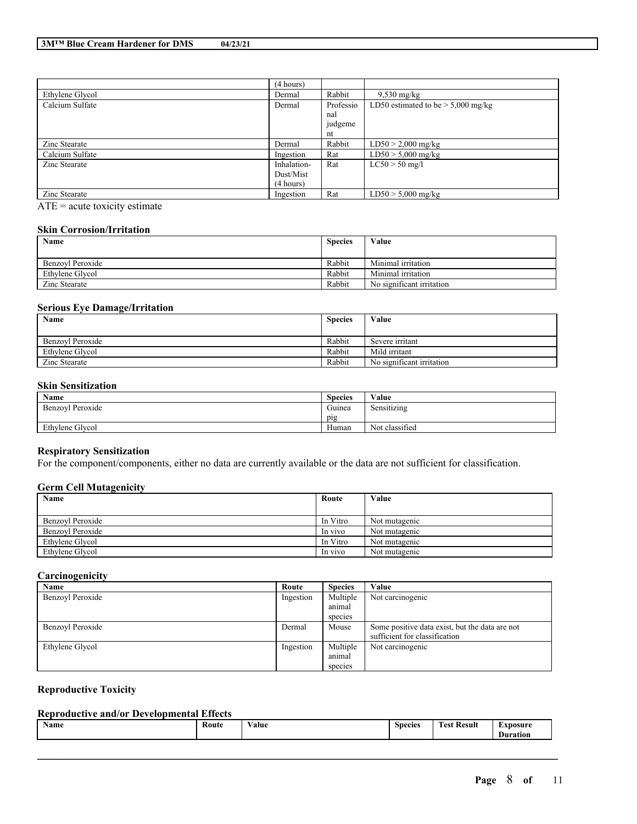|                 | (4 hours)   |           |                                      |
|-----------------|-------------|-----------|--------------------------------------|
| Ethylene Glycol | Dermal      | Rabbit    | $9,530$ mg/kg                        |
| Calcium Sulfate | Dermal      | Professio | LD50 estimated to be $> 5,000$ mg/kg |
|                 |             | nal       |                                      |
|                 |             | judgeme   |                                      |
|                 |             | nt        |                                      |
| Zinc Stearate   | Dermal      | Rabbit    | $LD50 > 2,000$ mg/kg                 |
| Calcium Sulfate | Ingestion   | Rat       | $LD50 > 5,000$ mg/kg                 |
| Zinc Stearate   | Inhalation- | Rat       | $LC50 > 50$ mg/l                     |
|                 | Dust/Mist   |           |                                      |
|                 | (4 hours)   |           |                                      |
| Zinc Stearate   | Ingestion   | Rat       | $LD50 > 5,000$ mg/kg                 |

 $\overline{ATE}$  = acute toxicity estimate

## **Skin Corrosion/Irritation**

| Name             | <b>Species</b> | Value                     |
|------------------|----------------|---------------------------|
|                  |                |                           |
| Benzovl Peroxide | Rabbit         | Minimal irritation        |
| Ethylene Glycol  | Rabbit         | Minimal irritation        |
| Zinc Stearate    | Rabbit         | No significant irritation |

### **Serious Eye Damage/Irritation**

| Name             | <b>Species</b> | Value                     |
|------------------|----------------|---------------------------|
|                  |                |                           |
| Benzovl Peroxide | Rabbit         | Severe irritant           |
| Ethylene Glycol  | Rabbit         | Mild irritant             |
| Zinc Stearate    | Rabbit         | No significant irritation |

### **Skin Sensitization**

| Name                  | $\sim$<br><b>Species</b> | Value                 |
|-----------------------|--------------------------|-----------------------|
| ! Peroxide<br>Benzoyl | $\sim$<br>Guinea         | $\sim$<br>Sensitizing |
|                       | pig                      |                       |
| Ethylene Glycol       | Human                    | Not classified        |

### **Respiratory Sensitization**

For the component/components, either no data are currently available or the data are not sufficient for classification.

### **Germ Cell Mutagenicity**

| Name             | Route    | Value         |
|------------------|----------|---------------|
|                  |          |               |
| Benzoyl Peroxide | In Vitro | Not mutagenic |
| Benzovl Peroxide | In vivo  | Not mutagenic |
| Ethylene Glycol  | In Vitro | Not mutagenic |
| Ethylene Glycol  | In vivo  | Not mutagenic |

### **Carcinogenicity**

| Name             | Route     | <b>Species</b> | Value                                          |
|------------------|-----------|----------------|------------------------------------------------|
| Benzoyl Peroxide | Ingestion | Multiple       | Not carcinogenic                               |
|                  |           | animal         |                                                |
|                  |           | species        |                                                |
| Benzovl Peroxide | Dermal    | Mouse          | Some positive data exist, but the data are not |
|                  |           |                | sufficient for classification                  |
| Ethylene Glycol  | Ingestion | Multiple       | Not carcinogenic                               |
|                  |           | animal         |                                                |
|                  |           | species        |                                                |

### **Reproductive Toxicity**

### **Reproductive and/or Developmental Effects**

| $-1$<br>Route<br><b>Name</b><br>⁄ alue<br>00100<br><b>DO</b><br><br>.<br>.<br>. | <b>kesult</b><br>IIr<br>ation |
|---------------------------------------------------------------------------------|-------------------------------|
|---------------------------------------------------------------------------------|-------------------------------|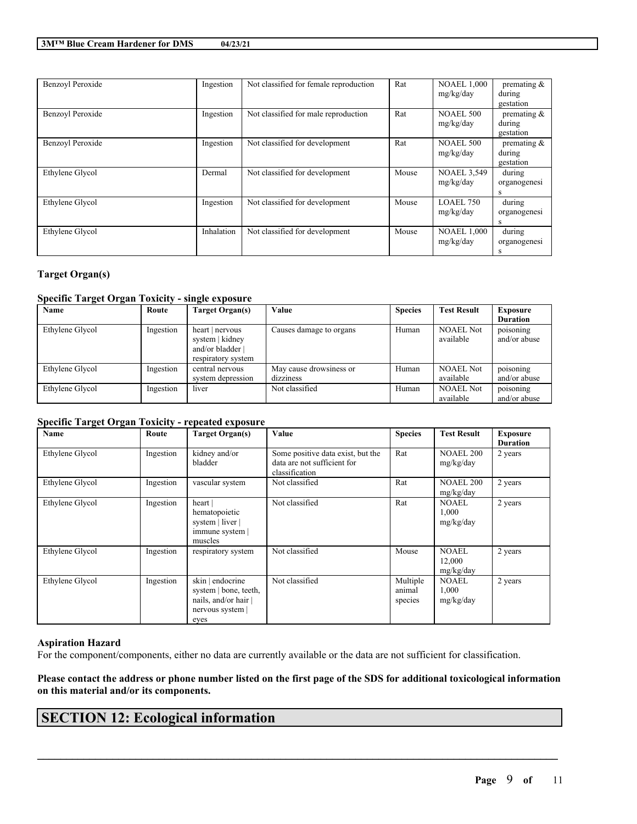| Benzoyl Peroxide | Ingestion  | Not classified for female reproduction | Rat   | <b>NOAEL 1.000</b><br>mg/kg/day | premating $\&$<br>during<br>gestation |
|------------------|------------|----------------------------------------|-------|---------------------------------|---------------------------------------|
| Benzoyl Peroxide | Ingestion  | Not classified for male reproduction   | Rat   | <b>NOAEL 500</b><br>mg/kg/day   | premating $\&$<br>during<br>gestation |
| Benzoyl Peroxide | Ingestion  | Not classified for development         | Rat   | <b>NOAEL 500</b><br>mg/kg/day   | premating $\&$<br>during<br>gestation |
| Ethylene Glycol  | Dermal     | Not classified for development         | Mouse | <b>NOAEL 3,549</b><br>mg/kg/day | during<br>organogenesi<br>s           |
| Ethylene Glycol  | Ingestion  | Not classified for development         | Mouse | LOAEL 750<br>mg/kg/day          | during<br>organogenesi<br>S           |
| Ethylene Glycol  | Inhalation | Not classified for development         | Mouse | <b>NOAEL 1,000</b><br>mg/kg/day | during<br>organogenesi<br>s           |

# **Target Organ(s)**

### **Specific Target Organ Toxicity - single exposure**

| Name            | Route     | Target Organ(s)                                                            | Value                                | <b>Species</b> | <b>Test Result</b>            | <b>Exposure</b>           |
|-----------------|-----------|----------------------------------------------------------------------------|--------------------------------------|----------------|-------------------------------|---------------------------|
|                 |           |                                                                            |                                      |                |                               | <b>Duration</b>           |
| Ethylene Glycol | Ingestion | heart   nervous<br>system   kidney<br>and/or bladder<br>respiratory system | Causes damage to organs              | Human          | <b>NOAEL Not</b><br>available | poisoning<br>and/or abuse |
| Ethylene Glycol | Ingestion | central nervous<br>system depression                                       | May cause drowsiness or<br>dizziness | Human          | <b>NOAEL Not</b><br>available | poisoning<br>and/or abuse |
| Ethylene Glycol | Ingestion | liver                                                                      | Not classified                       | Human          | <b>NOAEL Not</b><br>available | poisoning<br>and/or abuse |

### **Specific Target Organ Toxicity - repeated exposure**

| Name            | Route     | <b>Target Organ(s)</b>                                                                    | Value                                                                              | <b>Species</b>                | <b>Test Result</b>                  | <b>Exposure</b><br><b>Duration</b> |
|-----------------|-----------|-------------------------------------------------------------------------------------------|------------------------------------------------------------------------------------|-------------------------------|-------------------------------------|------------------------------------|
| Ethylene Glycol | Ingestion | kidney and/or<br>bladder                                                                  | Some positive data exist, but the<br>data are not sufficient for<br>classification | Rat                           | <b>NOAEL 200</b><br>mg/kg/day       | 2 years                            |
| Ethylene Glycol | Ingestion | vascular system                                                                           | Not classified                                                                     | Rat                           | <b>NOAEL 200</b><br>mg/kg/day       | 2 years                            |
| Ethylene Glycol | Ingestion | heart  <br>hematopoietic<br>system   liver  <br>immune system  <br>muscles                | Not classified                                                                     | Rat                           | <b>NOAEL</b><br>1,000<br>mg/kg/day  | 2 years                            |
| Ethylene Glycol | Ingestion | respiratory system                                                                        | Not classified                                                                     | Mouse                         | <b>NOAEL</b><br>12,000<br>mg/kg/day | 2 years                            |
| Ethylene Glycol | Ingestion | skin   endocrine<br>system   bone, teeth,<br>nails, and/or hair<br>nervous system<br>eyes | Not classified                                                                     | Multiple<br>animal<br>species | <b>NOAEL</b><br>1,000<br>mg/kg/day  | 2 years                            |

#### **Aspiration Hazard**

For the component/components, either no data are currently available or the data are not sufficient for classification.

### Please contact the address or phone number listed on the first page of the SDS for additional toxicological information **on this material and/or its components.**

 $\mathcal{L}_\mathcal{L} = \mathcal{L}_\mathcal{L} = \mathcal{L}_\mathcal{L} = \mathcal{L}_\mathcal{L} = \mathcal{L}_\mathcal{L} = \mathcal{L}_\mathcal{L} = \mathcal{L}_\mathcal{L} = \mathcal{L}_\mathcal{L} = \mathcal{L}_\mathcal{L} = \mathcal{L}_\mathcal{L} = \mathcal{L}_\mathcal{L} = \mathcal{L}_\mathcal{L} = \mathcal{L}_\mathcal{L} = \mathcal{L}_\mathcal{L} = \mathcal{L}_\mathcal{L} = \mathcal{L}_\mathcal{L} = \mathcal{L}_\mathcal{L}$ 

# **SECTION 12: Ecological information**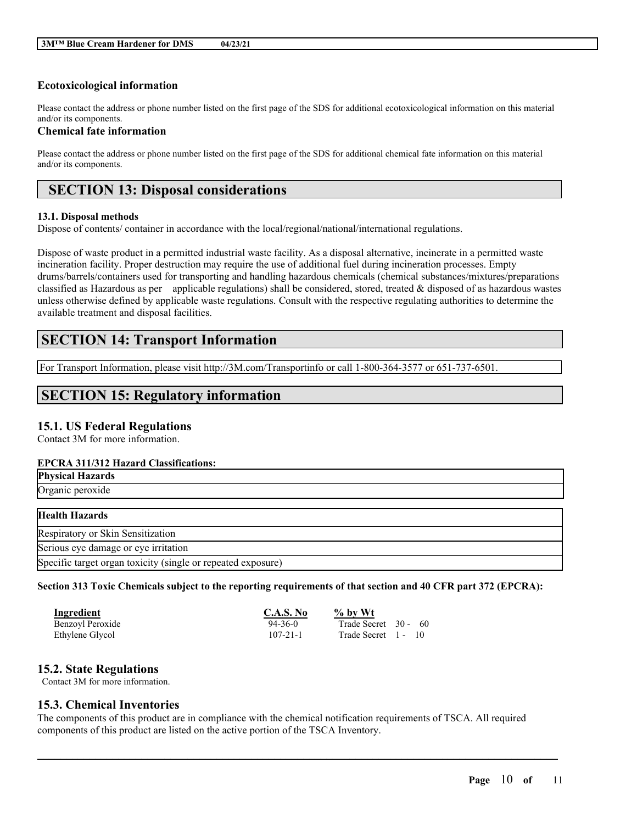# **Ecotoxicological information**

Please contact the address or phone number listed on the first page of the SDS for additional ecotoxicological information on this material and/or its components.

### **Chemical fate information**

Please contact the address or phone number listed on the first page of the SDS for additional chemical fate information on this material and/or its components.

# **SECTION 13: Disposal considerations**

#### **13.1. Disposal methods**

Dispose of contents/ container in accordance with the local/regional/national/international regulations.

Dispose of waste product in a permitted industrial waste facility. As a disposal alternative, incinerate in a permitted waste incineration facility. Proper destruction may require the use of additional fuel during incineration processes. Empty drums/barrels/containers used for transporting and handling hazardous chemicals (chemical substances/mixtures/preparations classified as Hazardous as per applicable regulations) shall be considered, stored, treated & disposed of as hazardous wastes unless otherwise defined by applicable waste regulations. Consult with the respective regulating authorities to determine the available treatment and disposal facilities.

# **SECTION 14: Transport Information**

For Transport Information, please visit http://3M.com/Transportinfo or call 1-800-364-3577 or 651-737-6501.

# **SECTION 15: Regulatory information**

# **15.1. US Federal Regulations**

Contact 3M for more information.

### **EPCRA 311/312 Hazard Classifications:**

| <b>Physical Hazards</b>                                      |  |
|--------------------------------------------------------------|--|
| Organic peroxide                                             |  |
|                                                              |  |
| <b>Health Hazards</b>                                        |  |
| Respiratory or Skin Sensitization                            |  |
| Serious eye damage or eye irritation                         |  |
| Specific target organ toxicity (single or repeated exposure) |  |

### Section 313 Toxic Chemicals subject to the reporting requirements of that section and 40 CFR part 372 (EPCRA):

| <b>Ingredient</b> | <b>C.A.S. No</b> | $\%$ by Wt           |
|-------------------|------------------|----------------------|
| Benzoyl Peroxide  | $94 - 36 - 0$    | Trade Secret 30 - 60 |
| Ethylene Glycol   | $107 - 21 - 1$   | Trade Secret 1 - 10  |

### **15.2. State Regulations**

Contact 3M for more information.

# **15.3. Chemical Inventories**

The components of this product are in compliance with the chemical notification requirements of TSCA. All required components of this product are listed on the active portion of the TSCA Inventory.